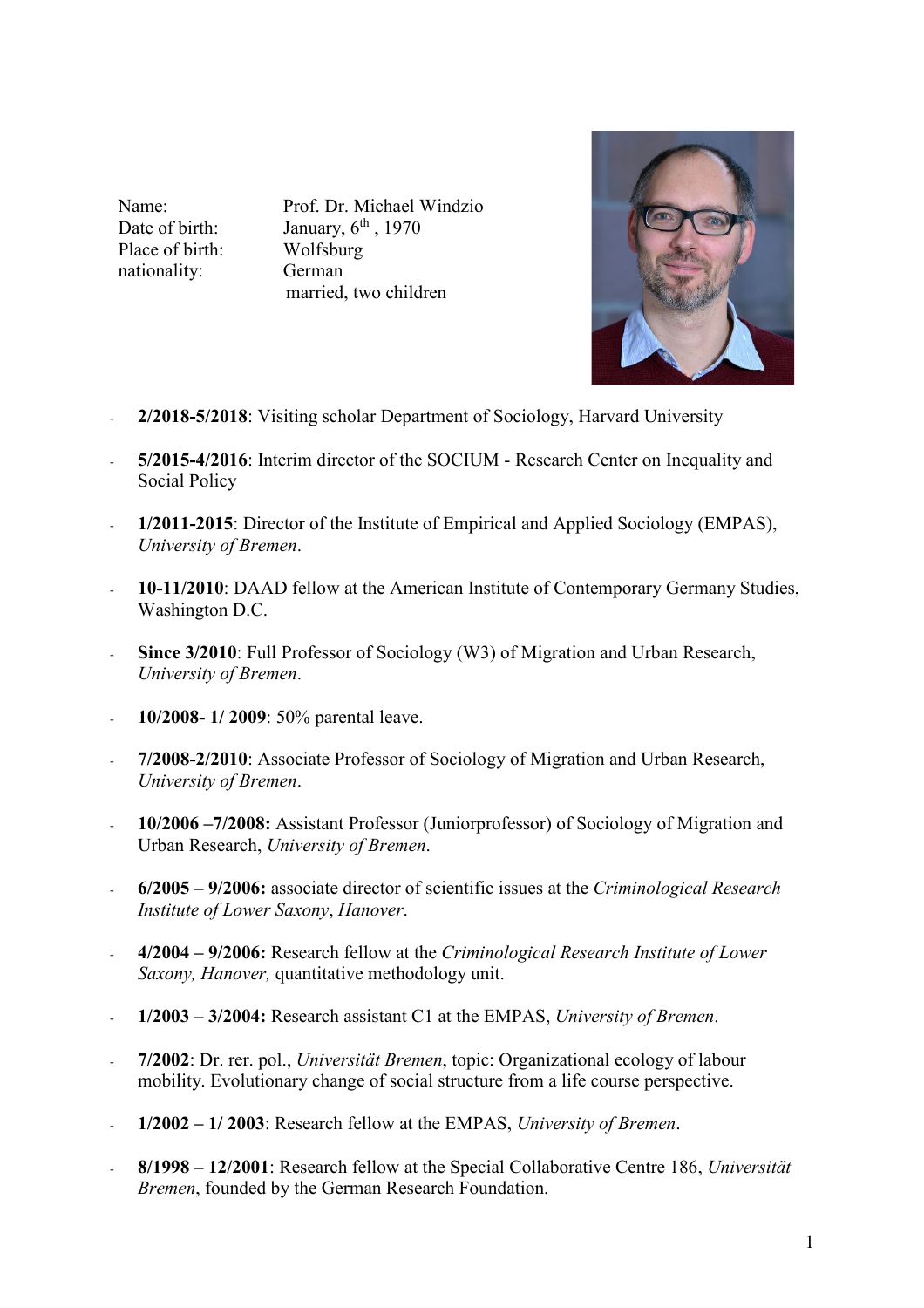Place of birth: Wolfsburg nationality: German

Name: Prof. Dr. Michael Windzio Date of birth: January,  $6<sup>th</sup>$ , 1970 married, two children



- **2/2018-5/2018**: Visiting scholar Department of Sociology, Harvard University
- **5/2015-4/2016**: Interim director of the SOCIUM Research Center on Inequality and Social Policy
- **1/2011-2015**: Director of the Institute of Empirical and Applied Sociology (EMPAS), *University of Bremen*.
- **10-11/2010**: DAAD fellow at the American Institute of Contemporary Germany Studies, Washington D.C.
- **Since 3/2010**: Full Professor of Sociology (W3) of Migration and Urban Research, *University of Bremen*.
- **10/2008- 1/ 2009**: 50% parental leave.
- **7/2008-2/2010**: Associate Professor of Sociology of Migration and Urban Research, *University of Bremen*.
- **10/2006 –7/2008:** Assistant Professor (Juniorprofessor) of Sociology of Migration and Urban Research, *University of Bremen*.
- **6/2005 9/2006:** associate director of scientific issues at the *Criminological Research Institute of Lower Saxony*, *Hanover*.
- **4/2004 9/2006:** Research fellow at the *Criminological Research Institute of Lower Saxony, Hanover,* quantitative methodology unit.
- **1/2003 3/2004:** Research assistant C1 at the EMPAS, *University of Bremen*.
- **7/2002**: Dr. rer. pol., *Universität Bremen*, topic: Organizational ecology of labour mobility. Evolutionary change of social structure from a life course perspective.
- **1/2002 1/ 2003**: Research fellow at the EMPAS, *University of Bremen*.
- **8/1998 12/2001**: Research fellow at the Special Collaborative Centre 186, *Universität Bremen*, founded by the German Research Foundation.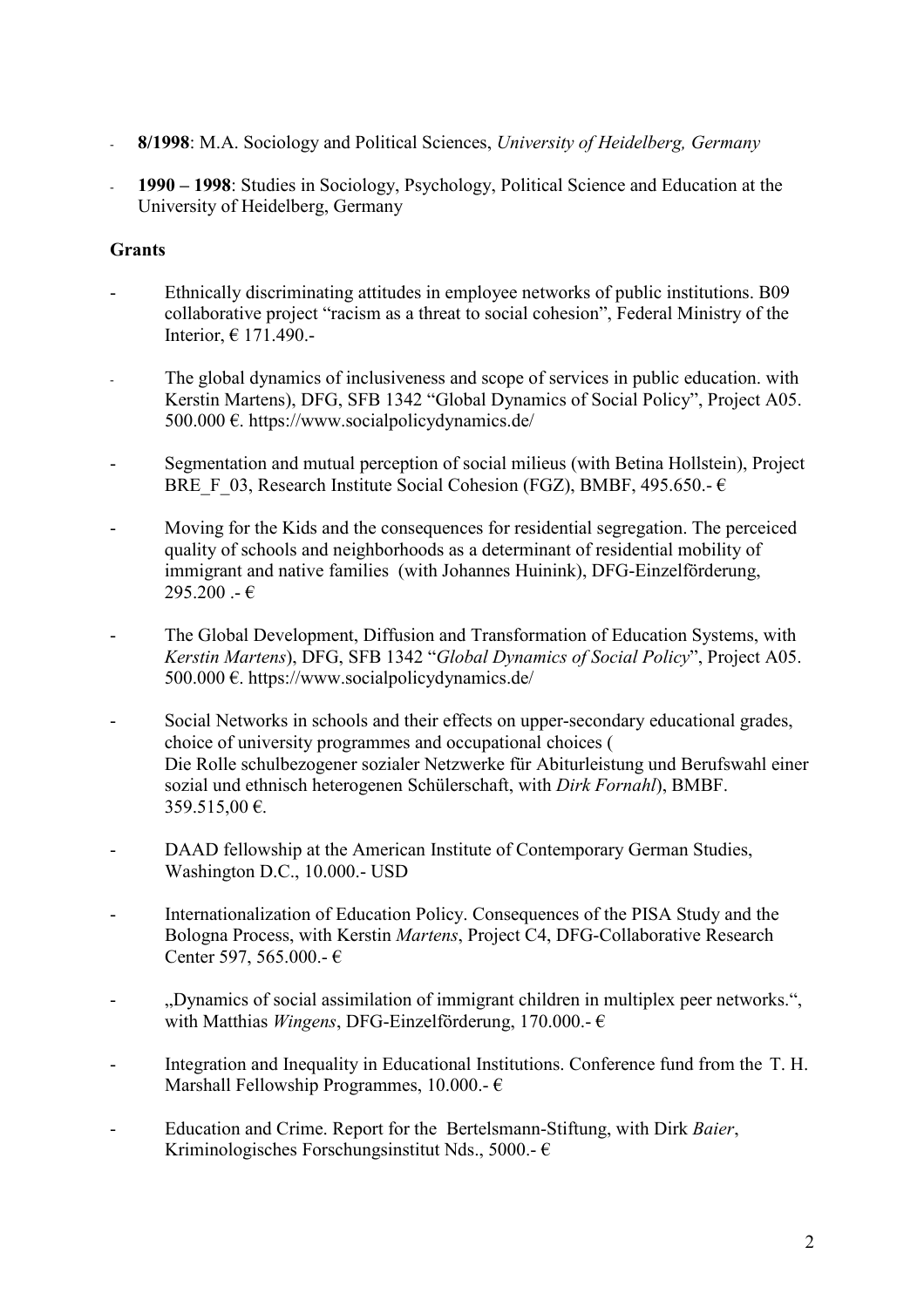- **8/1998**: M.A. Sociology and Political Sciences, *University of Heidelberg, Germany*
- **1990 1998**: Studies in Sociology, Psychology, Political Science and Education at the University of Heidelberg, Germany

## **Grants**

- Ethnically discriminating attitudes in employee networks of public institutions. B09 collaborative project "racism as a threat to social cohesion", Federal Ministry of the Interior, € 171.490.-
- The global dynamics of inclusiveness and scope of services in public education, with Kerstin Martens), DFG, SFB 1342 "Global Dynamics of Social Policy", Project A05. 500.000 €. https://www.socialpolicydynamics.de/
- Segmentation and mutual perception of social milieus (with Betina Hollstein), Project BRE F 03, Research Institute Social Cohesion (FGZ), BMBF, 495.650.-  $\epsilon$
- Moving for the Kids and the consequences for residential segregation. The perceiced quality of schools and neighborhoods as a determinant of residential mobility of immigrant and native families (with Johannes Huinink), DFG-Einzelförderung,  $295.200 - \epsilon$
- The Global Development, Diffusion and Transformation of Education Systems, with *Kerstin Martens*), DFG, SFB 1342 "*Global Dynamics of Social Policy*", Project A05. 500.000 €. https://www.socialpolicydynamics.de/
- Social Networks in schools and their effects on upper-secondary educational grades, choice of university programmes and occupational choices ( Die Rolle schulbezogener sozialer Netzwerke für Abiturleistung und Berufswahl einer sozial und ethnisch heterogenen Schülerschaft, with *Dirk Fornahl*), BMBF. 359.515,00 €.
- DAAD fellowship at the American Institute of Contemporary German Studies, Washington D.C., 10.000.- USD
- Internationalization of Education Policy. Consequences of the PISA Study and the Bologna Process, with Kerstin *Martens*, Project C4, DFG-Collaborative Research Center 597, 565.000.- €
- , Dynamics of social assimilation of immigrant children in multiplex peer networks.", with Matthias *Wingens*, DFG-Einzelförderung, 170.000.- €
- Integration and Inequality in Educational Institutions. Conference fund from the T. H. Marshall Fellowship Programmes, 10.000.-  $\epsilon$
- Education and Crime. Report for the Bertelsmann-Stiftung, with Dirk *Baier*, Kriminologisches Forschungsinstitut Nds., 5000.-  $\epsilon$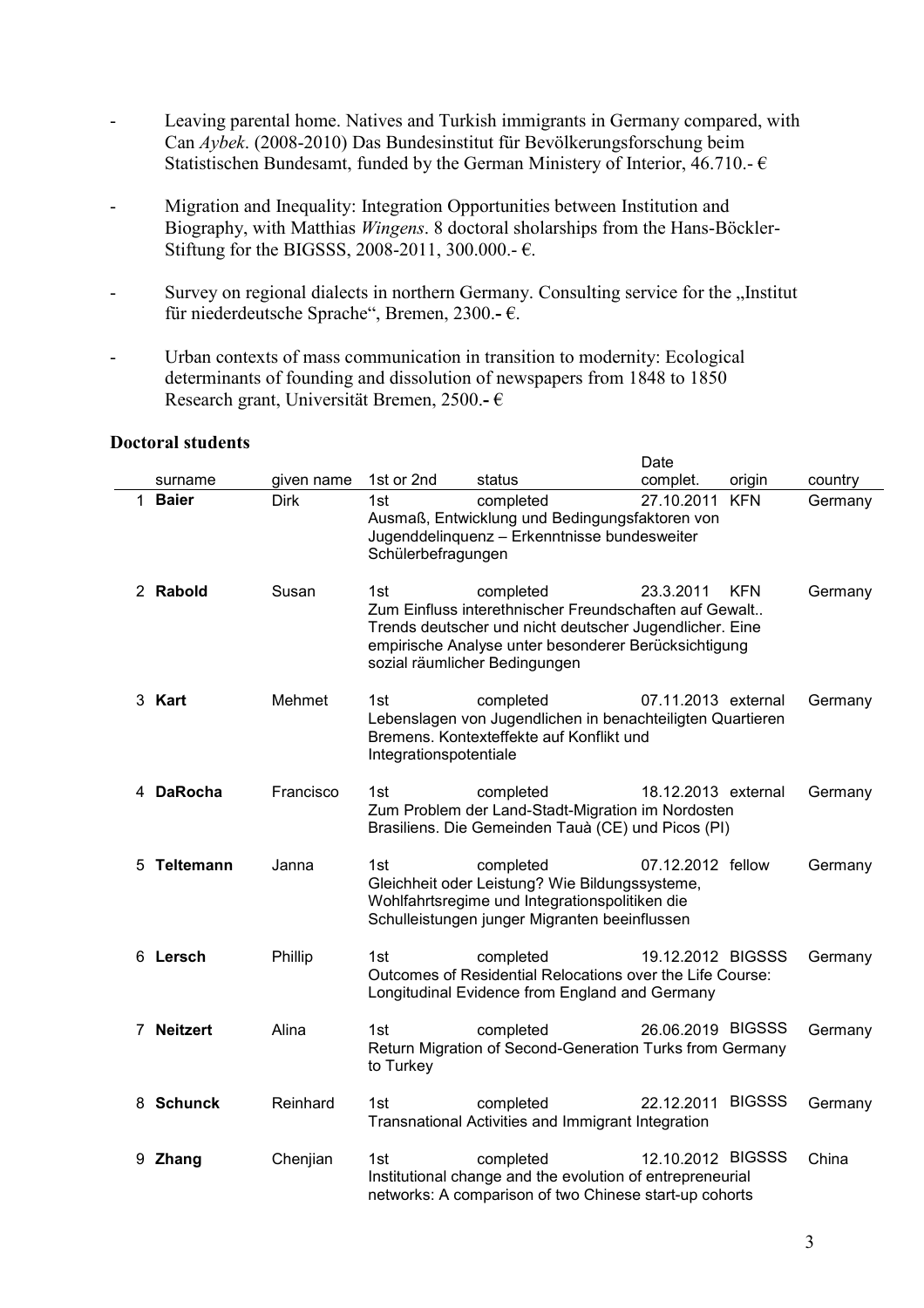- Leaving parental home. Natives and Turkish immigrants in Germany compared, with Can *Aybek*. (2008-2010) Das Bundesinstitut für Bevölkerungsforschung beim Statistischen Bundesamt, funded by the German Ministery of Interior, 46.710.-  $\epsilon$
- Migration and Inequality: Integration Opportunities between Institution and Biography, with Matthias *Wingens*. 8 doctoral sholarships from the Hans-Böckler- Stiftung for the BIGSSS, 2008-2011, 300.000.-  $\epsilon$ .
- Survey on regional dialects in northern Germany. Consulting service for the "Institut für niederdeutsche Sprache", Bremen, 2300.**-** €.

Date

- Urban contexts of mass communication in transition to modernity: Ecological determinants of founding and dissolution of newspapers from 1848 to 1850 Research grant, Universität Bremen, 2500.**-** €

|    |              |             |                               |                                                                                                                                                                                                                         | Dale                |               |         |
|----|--------------|-------------|-------------------------------|-------------------------------------------------------------------------------------------------------------------------------------------------------------------------------------------------------------------------|---------------------|---------------|---------|
|    | surname      | given name  | 1st or 2nd                    | status                                                                                                                                                                                                                  | complet.            | origin        | country |
| 1. | <b>Baier</b> | <b>Dirk</b> | 1st<br>Schülerbefragungen     | completed<br>Ausmaß, Entwicklung und Bedingungsfaktoren von<br>Jugenddelinquenz - Erkenntnisse bundesweiter                                                                                                             | 27.10.2011          | <b>KFN</b>    | Germany |
|    | 2 Rabold     | Susan       | 1st                           | completed<br>Zum Einfluss interethnischer Freundschaften auf Gewalt<br>Trends deutscher und nicht deutscher Jugendlicher. Eine<br>empirische Analyse unter besonderer Berücksichtigung<br>sozial räumlicher Bedingungen | 23.3.2011           | <b>KFN</b>    | Germany |
|    | 3 Kart       | Mehmet      | 1st<br>Integrationspotentiale | completed<br>Lebenslagen von Jugendlichen in benachteiligten Quartieren<br>Bremens. Kontexteffekte auf Konflikt und                                                                                                     | 07.11.2013 external |               | Germany |
|    | 4 DaRocha    | Francisco   | 1st                           | completed<br>Zum Problem der Land-Stadt-Migration im Nordosten<br>Brasiliens. Die Gemeinden Tauà (CE) und Picos (PI)                                                                                                    | 18.12.2013 external |               | Germany |
|    | 5 Teltemann  | Janna       | 1st                           | completed<br>Gleichheit oder Leistung? Wie Bildungssysteme,<br>Wohlfahrtsregime und Integrationspolitiken die<br>Schulleistungen junger Migranten beeinflussen                                                          | 07.12.2012 fellow   |               | Germany |
|    | 6 Lersch     | Phillip     | 1st                           | completed<br>Outcomes of Residential Relocations over the Life Course:<br>Longitudinal Evidence from England and Germany                                                                                                | 19.12.2012 BIGSSS   |               | Germany |
|    | 7 Neitzert   | Alina       | 1st<br>to Turkey              | completed<br>Return Migration of Second-Generation Turks from Germany                                                                                                                                                   | 26.06.2019 BIGSSS   |               | Germany |
|    | 8 Schunck    | Reinhard    | 1st                           | completed<br>Transnational Activities and Immigrant Integration                                                                                                                                                         | 22.12.2011          | <b>BIGSSS</b> | Germany |
|    | 9 Zhang      | Chenjian    | 1st                           | completed<br>Institutional change and the evolution of entrepreneurial<br>networks: A comparison of two Chinese start-up cohorts                                                                                        | 12.10.2012 BIGSSS   |               | China   |

#### **Doctoral students**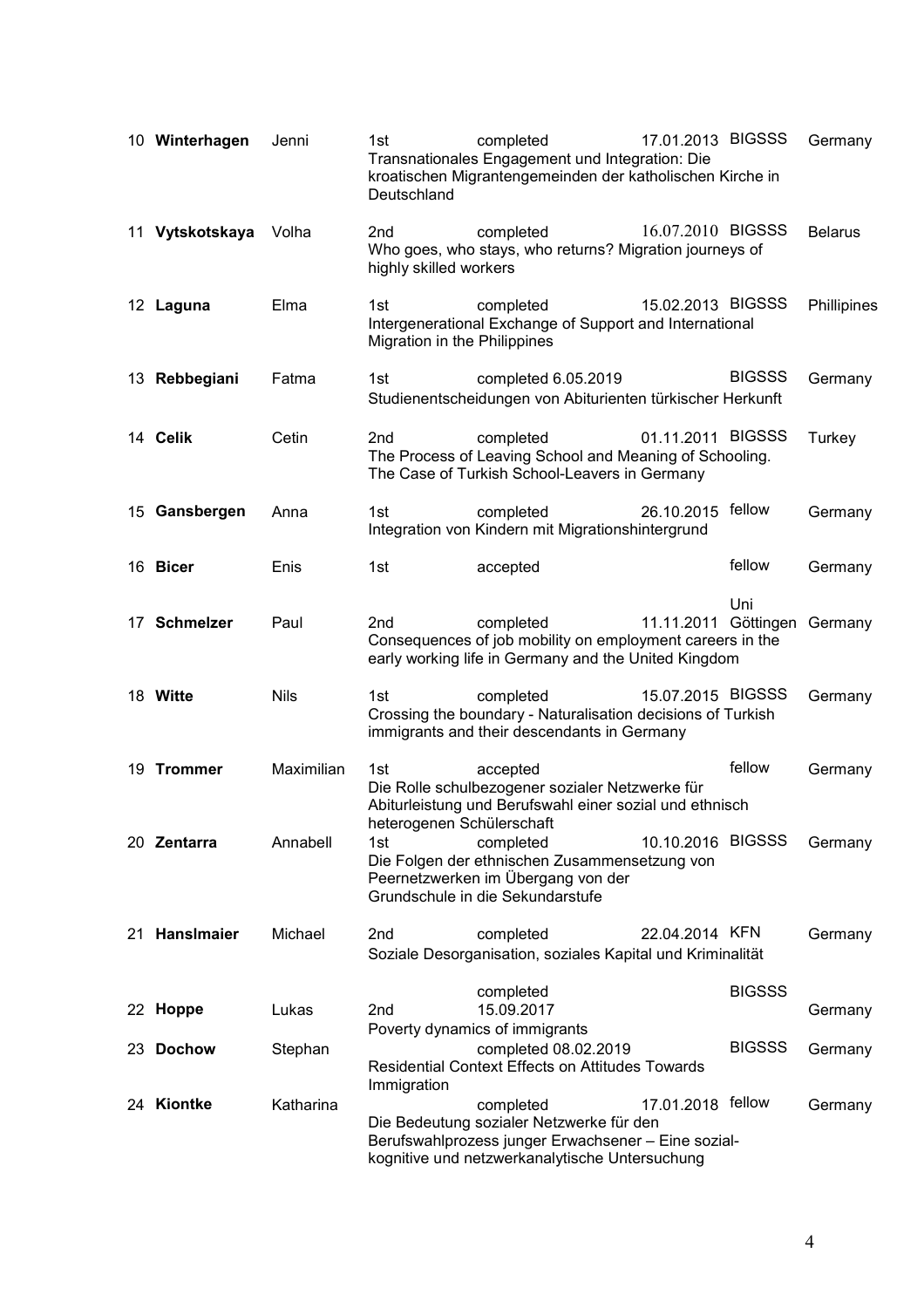| 10 Winterhagen  | Jenni       | 1st<br>Deutschland                        | completed<br>Transnationales Engagement und Integration: Die<br>kroatischen Migrantengemeinden der katholischen Kirche in                                      | 17.01.2013 BIGSSS    |               | Germany        |
|-----------------|-------------|-------------------------------------------|----------------------------------------------------------------------------------------------------------------------------------------------------------------|----------------------|---------------|----------------|
| 11 Vytskotskaya | Volha       | 2 <sub>nd</sub><br>highly skilled workers | completed<br>Who goes, who stays, who returns? Migration journeys of                                                                                           | 16.07.2010 BIGSSS    |               | <b>Belarus</b> |
| 12 Laguna       | Elma        | 1st<br>Migration in the Philippines       | completed<br>Intergenerational Exchange of Support and International                                                                                           | 15.02.2013 BIGSSS    |               | Phillipines    |
| 13 Rebbegiani   | Fatma       | 1st                                       | completed 6.05.2019<br>Studienentscheidungen von Abiturienten türkischer Herkunft                                                                              |                      | <b>BIGSSS</b> | Germany        |
| 14 Celik        | Cetin       | 2 <sub>nd</sub>                           | completed<br>The Process of Leaving School and Meaning of Schooling.<br>The Case of Turkish School-Leavers in Germany                                          | 01.11.2011 BIGSSS    |               | Turkey         |
| 15 Gansbergen   | Anna        | 1st                                       | completed<br>Integration von Kindern mit Migrationshintergrund                                                                                                 | 26.10.2015 fellow    |               | Germany        |
| 16 Bicer        | Enis        | 1st                                       | accepted                                                                                                                                                       |                      | fellow        | Germany        |
| 17 Schmelzer    | Paul        | 2 <sub>nd</sub>                           | completed<br>Consequences of job mobility on employment careers in the<br>early working life in Germany and the United Kingdom                                 | 11.11.2011 Göttingen | Uni           | Germany        |
| 18 Witte        | <b>Nils</b> | 1st                                       | completed<br>Crossing the boundary - Naturalisation decisions of Turkish<br>immigrants and their descendants in Germany                                        | 15.07.2015 BIGSSS    |               | Germany        |
| 19 Trommer      | Maximilian  | 1st<br>heterogenen Schülerschaft          | accepted<br>Die Rolle schulbezogener sozialer Netzwerke für<br>Abiturleistung und Berufswahl einer sozial und ethnisch                                         |                      | fellow        | Germany        |
| 20 Zentarra     | Annabell    | 1st                                       | completed<br>Die Folgen der ethnischen Zusammensetzung von<br>Peernetzwerken im Übergang von der<br>Grundschule in die Sekundarstufe                           | 10.10.2016 BIGSSS    |               | Germany        |
| 21 Hansimaier   | Michael     | 2nd                                       | completed<br>Soziale Desorganisation, soziales Kapital und Kriminalität                                                                                        | 22.04.2014 KFN       |               | Germany        |
| 22 Hoppe        | Lukas       | 2nd                                       | completed<br>15.09.2017<br>Poverty dynamics of immigrants                                                                                                      |                      | <b>BIGSSS</b> | Germany        |
| 23 Dochow       | Stephan     |                                           | completed 08.02.2019<br><b>Residential Context Effects on Attitudes Towards</b>                                                                                |                      | <b>BIGSSS</b> | Germany        |
| 24 Kiontke      | Katharina   | Immigration                               | completed<br>Die Bedeutung sozialer Netzwerke für den<br>Berufswahlprozess junger Erwachsener - Eine sozial-<br>kognitive und netzwerkanalytische Untersuchung | 17.01.2018 fellow    |               | Germany        |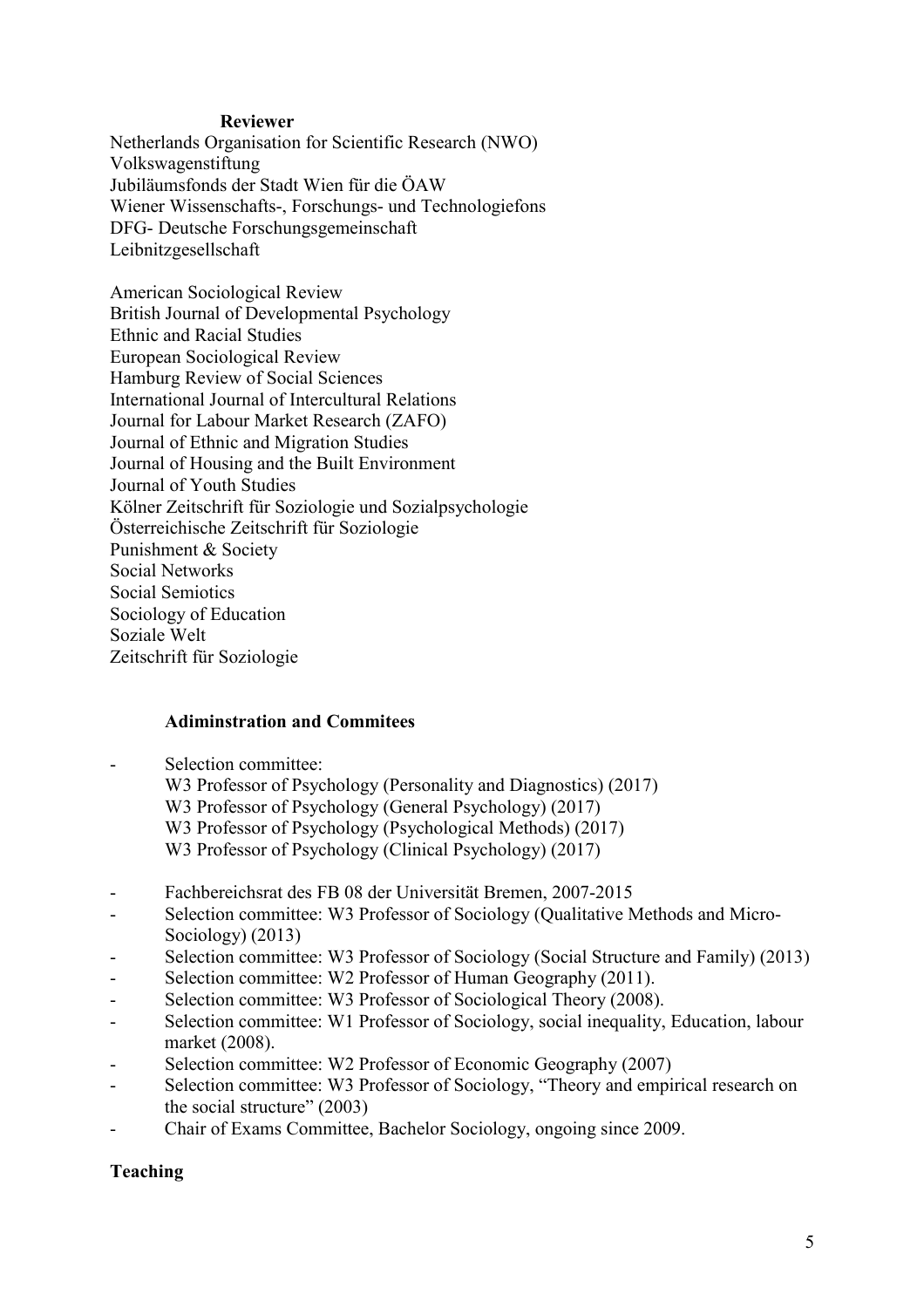#### **Reviewer**

Netherlands Organisation for Scientific Research (NWO) Volkswagenstiftung Jubiläumsfonds der Stadt Wien für die ÖAW Wiener Wissenschafts-, Forschungs- und Technologiefons DFG- Deutsche Forschungsgemeinschaft Leibnitzgesellschaft

American Sociological Review British Journal of Developmental Psychology Ethnic and Racial Studies European Sociological Review Hamburg Review of Social Sciences International Journal of Intercultural Relations Journal for Labour Market Research (ZAFO) Journal of Ethnic and Migration Studies Journal of Housing and the Built Environment Journal of Youth Studies Kölner Zeitschrift für Soziologie und Sozialpsychologie Österreichische Zeitschrift für Soziologie Punishment & Society Social Networks Social Semiotics Sociology of Education Soziale Welt Zeitschrift für Soziologie

## **Adiminstration and Commitees**

- Selection committee:
	- W3 Professor of Psychology (Personality and Diagnostics) (2017) W3 Professor of Psychology (General Psychology) (2017) W3 Professor of Psychology (Psychological Methods) (2017) W3 Professor of Psychology (Clinical Psychology) (2017)
- Fachbereichsrat des FB 08 der Universität Bremen, 2007-2015
- Selection committee: W3 Professor of Sociology (Qualitative Methods and Micro-Sociology) (2013)
- Selection committee: W3 Professor of Sociology (Social Structure and Family) (2013)
- Selection committee: W2 Professor of Human Geography (2011).
- Selection committee: W3 Professor of Sociological Theory (2008).
- Selection committee: W1 Professor of Sociology, social inequality, Education, labour market (2008).
- Selection committee: W2 Professor of Economic Geography (2007)
- Selection committee: W3 Professor of Sociology, "Theory and empirical research on the social structure" (2003)
- Chair of Exams Committee, Bachelor Sociology, ongoing since 2009.

## **Teaching**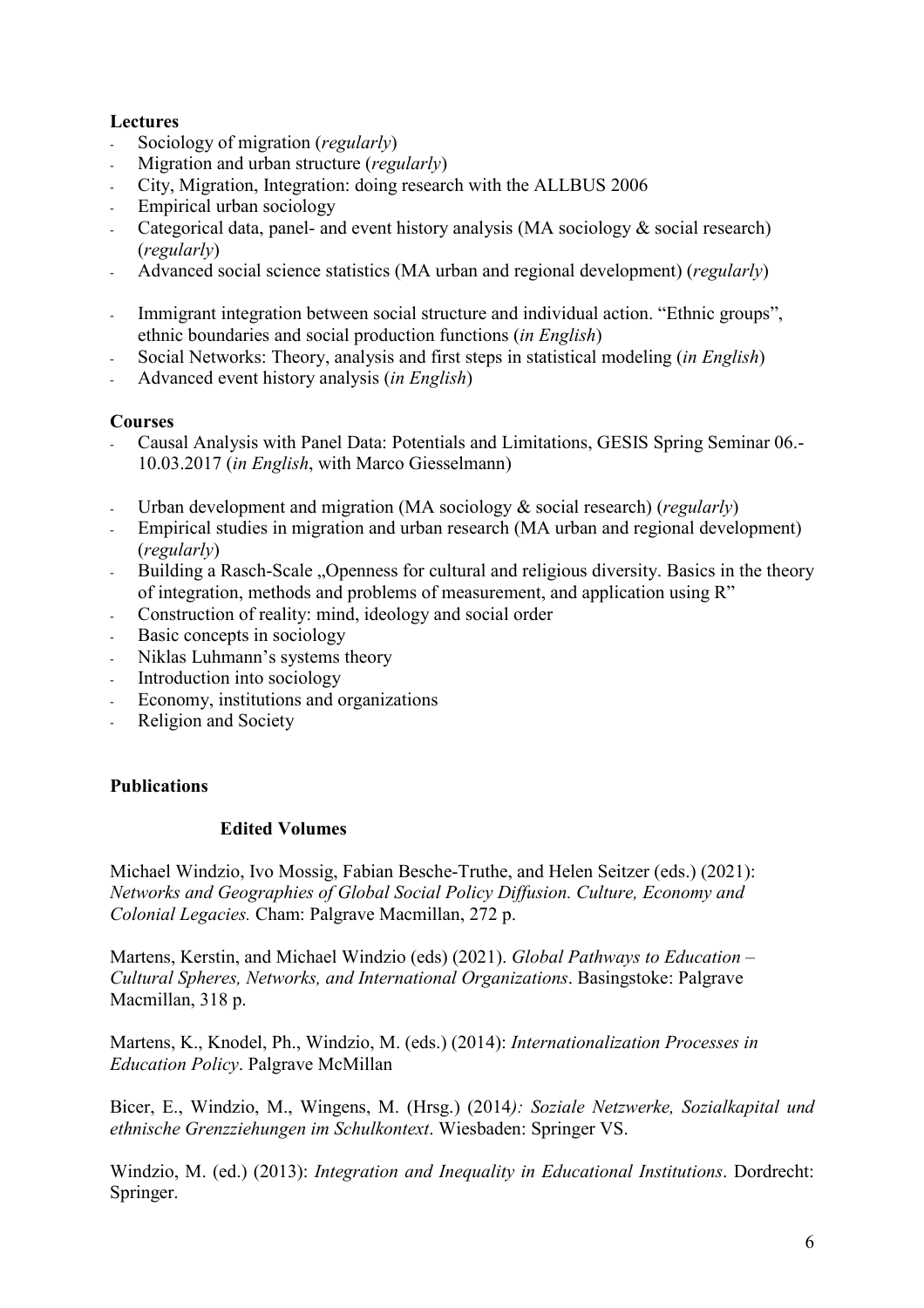## **Lectures**

- Sociology of migration (*regularly*)
- Migration and urban structure (*regularly*)
- City, Migration, Integration: doing research with the ALLBUS 2006
- Empirical urban sociology
- Categorical data, panel- and event history analysis (MA sociology  $&$  social research) (*regularly*)
- Advanced social science statistics (MA urban and regional development) (*regularly*)
- Immigrant integration between social structure and individual action. "Ethnic groups", ethnic boundaries and social production functions (*in English*)
- Social Networks: Theory, analysis and first steps in statistical modeling (*in English*)
- Advanced event history analysis (*in English*)

## **Courses**

- Causal Analysis with Panel Data: Potentials and Limitations, GESIS Spring Seminar 06.- 10.03.2017 (*in English*, with Marco Giesselmann)
- Urban development and migration (MA sociology & social research) (*regularly*)
- Empirical studies in migration and urban research (MA urban and regional development) (*regularly*)
- Building a Rasch-Scale "Openness for cultural and religious diversity. Basics in the theory of integration, methods and problems of measurement, and application using R"
- Construction of reality: mind, ideology and social order
- Basic concepts in sociology
- Niklas Luhmann's systems theory
- Introduction into sociology
- Economy, institutions and organizations
- Religion and Society

# **Publications**

## **Edited Volumes**

Michael Windzio, Ivo Mossig, Fabian Besche-Truthe, and Helen Seitzer (eds.) (2021): *Networks and Geographies of Global Social Policy Diffusion. Culture, Economy and Colonial Legacies.* Cham: Palgrave Macmillan, 272 p.

Martens, Kerstin, and Michael Windzio (eds) (2021). *Global Pathways to Education – Cultural Spheres, Networks, and International Organizations*. Basingstoke: Palgrave Macmillan, 318 p.

Martens, K., Knodel, Ph., Windzio, M. (eds.) (2014): *Internationalization Processes in Education Policy*. Palgrave McMillan

Bicer, E., Windzio, M., Wingens, M. (Hrsg.) (2014*): Soziale Netzwerke, Sozialkapital und ethnische Grenzziehungen im Schulkontext*. Wiesbaden: Springer VS.

Windzio, M. (ed.) (2013): *Integration and Inequality in Educational Institutions*. Dordrecht: Springer.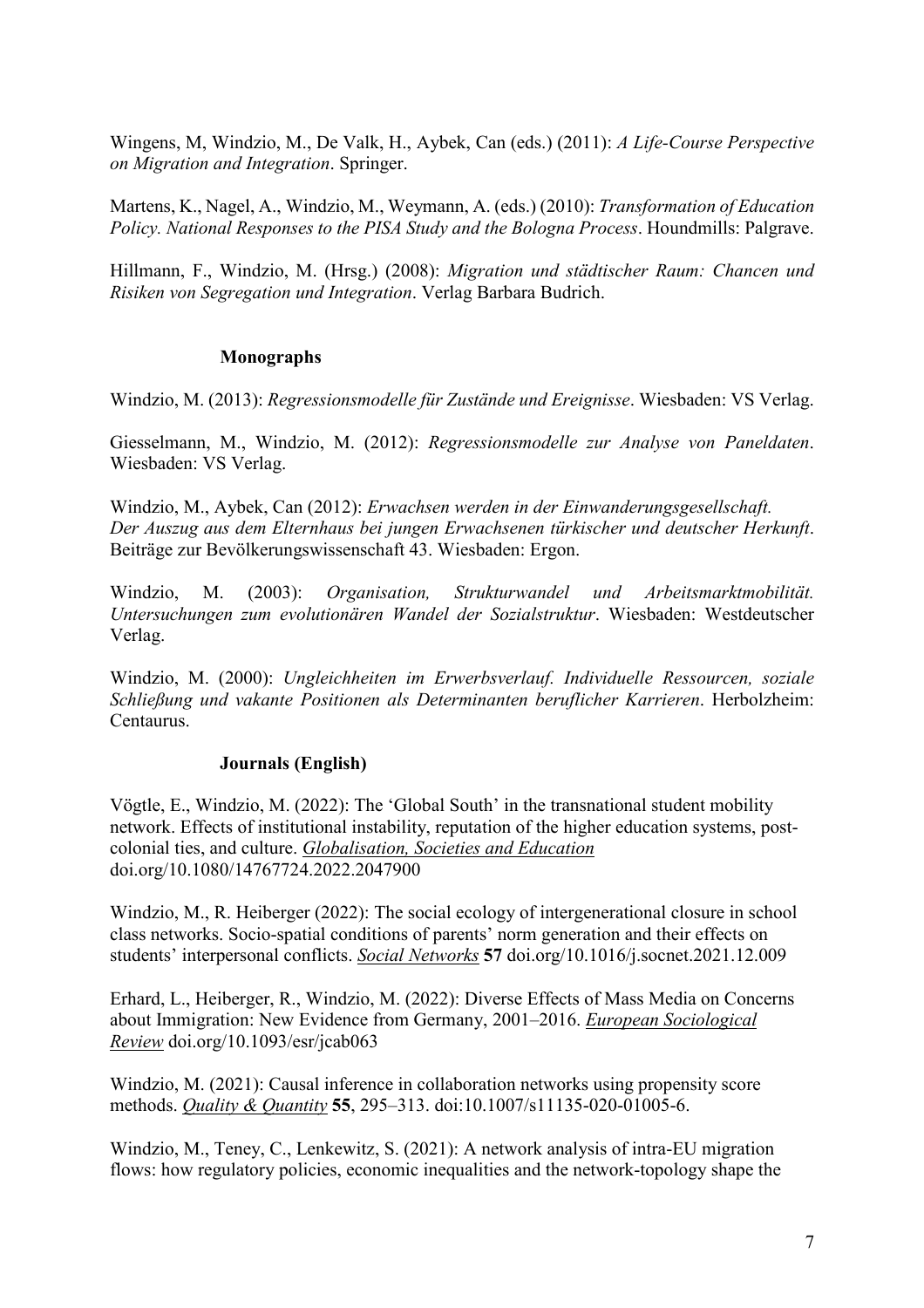Wingens, M, Windzio, M., De Valk, H., Aybek, Can (eds.) (2011): *A Life-Course Perspective on Migration and Integration*. Springer.

Martens, K., Nagel, A., Windzio, M., Weymann, A. (eds.) (2010): *Transformation of Education Policy. National Responses to the PISA Study and the Bologna Process*. Houndmills: Palgrave.

Hillmann, F., Windzio, M. (Hrsg.) (2008): *Migration und städtischer Raum: Chancen und Risiken von Segregation und Integration*. Verlag Barbara Budrich.

## **Monographs**

Windzio, M. (2013): *Regressionsmodelle für Zustände und Ereignisse*. Wiesbaden: VS Verlag.

Giesselmann, M., Windzio, M. (2012): *Regressionsmodelle zur Analyse von Paneldaten*. Wiesbaden: VS Verlag.

Windzio, M., Aybek, Can (2012): *Erwachsen werden in der Einwanderungsgesellschaft. Der Auszug aus dem Elternhaus bei jungen Erwachsenen türkischer und deutscher Herkunft*. Beiträge zur Bevölkerungswissenschaft 43. Wiesbaden: Ergon.

Windzio, M. (2003): *Organisation, Strukturwandel und Arbeitsmarktmobilität. Untersuchungen zum evolutionären Wandel der Sozialstruktur*. Wiesbaden: Westdeutscher Verlag.

Windzio, M. (2000): *Ungleichheiten im Erwerbsverlauf. Individuelle Ressourcen, soziale Schließung und vakante Positionen als Determinanten beruflicher Karrieren*. Herbolzheim: Centaurus.

## **Journals (English)**

Vögtle, E., Windzio, M. (2022): The 'Global South' in the transnational student mobility network. Effects of institutional instability, reputation of the higher education systems, postcolonial ties, and culture. *Globalisation, Societies and Education* doi.org/10.1080/14767724.2022.2047900

Windzio, M., R. Heiberger (2022): The social ecology of intergenerational closure in school class networks. Socio-spatial conditions of parents' norm generation and their effects on students' interpersonal conflicts. *Social Networks* **57** doi.org/10.1016/j.socnet.2021.12.009

Erhard, L., Heiberger, R., Windzio, M. (2022): Diverse Effects of Mass Media on Concerns about Immigration: New Evidence from Germany, 2001–2016. *European Sociological Review* doi.org/10.1093/esr/jcab063

Windzio, M. (2021): Causal inference in collaboration networks using propensity score methods. *Quality & Quantity* **55**, 295–313. doi:10.1007/s11135-020-01005-6.

Windzio, M., Teney, C., Lenkewitz, S. (2021): A network analysis of intra-EU migration flows: how regulatory policies, economic inequalities and the network-topology shape the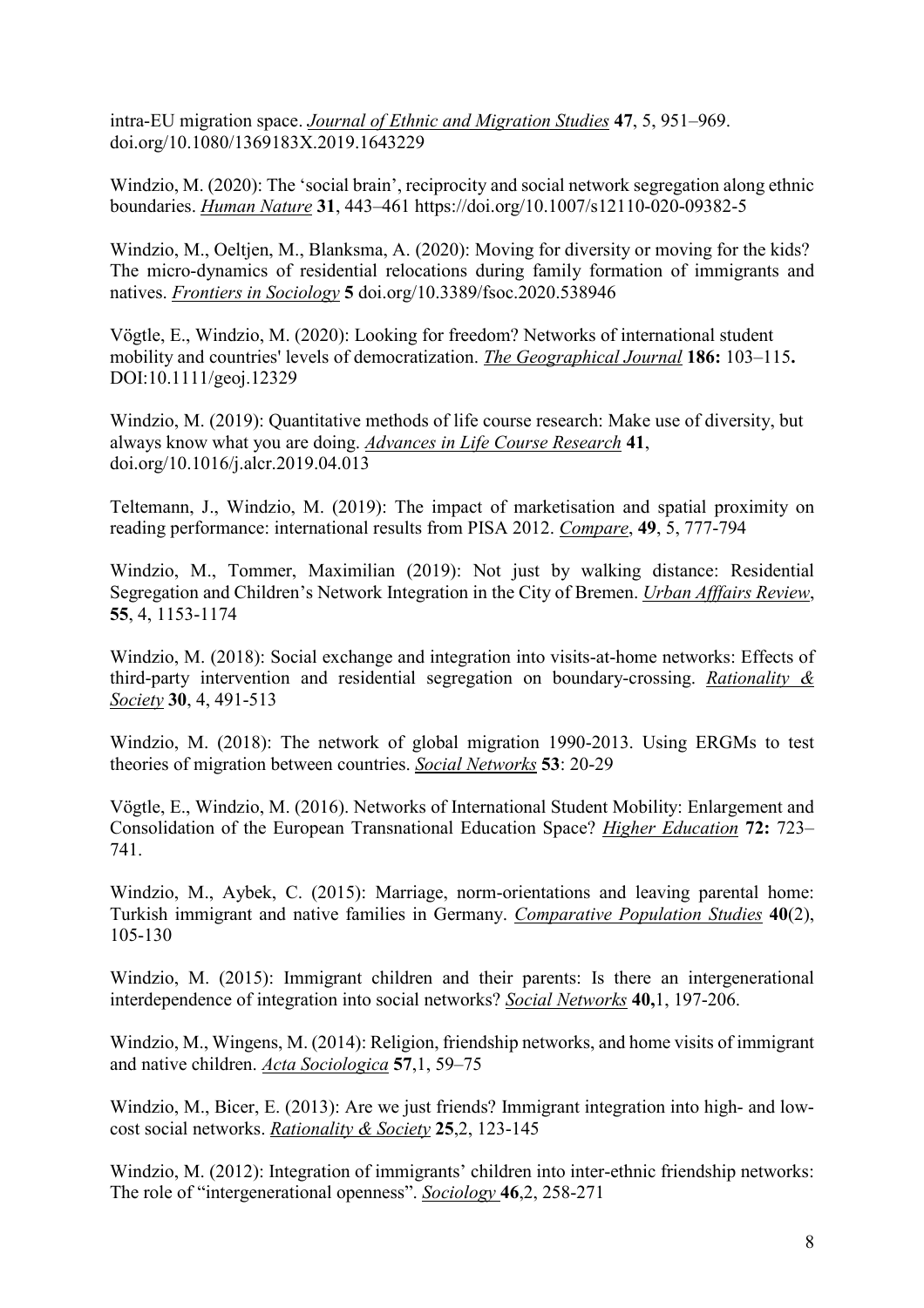intra-EU migration space. *Journal of Ethnic and Migration Studies* **47**, 5, 951–969. doi.org/10.1080/1369183X.2019.1643229

Windzio, M. (2020): The 'social brain', reciprocity and social network segregation along ethnic boundaries. *Human Nature* **31**, 443–461 https://doi.org/10.1007/s12110-020-09382-5

Windzio, M., Oeltjen, M., Blanksma, A. (2020): Moving for diversity or moving for the kids? The micro-dynamics of residential relocations during family formation of immigrants and natives. *Frontiers in Sociology* **5** doi.org/10.3389/fsoc.2020.538946

Vögtle, E., Windzio, M. (2020): Looking for freedom? Networks of international student mobility and countries' levels of democratization. *The Geographical Journal* **186:** 103–115**.** DOI:10.1111/geoj.12329

Windzio, M. (2019): Quantitative methods of life course research: Make use of diversity, but always know what you are doing. *Advances in Life Course Research* **41**, doi.org/10.1016/j.alcr.2019.04.013

Teltemann, J., Windzio, M. (2019): The impact of marketisation and spatial proximity on reading performance: international results from PISA 2012. *Compare*, **49**, 5, 777-794

Windzio, M., Tommer, Maximilian (2019): Not just by walking distance: Residential Segregation and Children's Network Integration in the City of Bremen. *Urban Afffairs Review*, **55**, 4, 1153-1174

Windzio, M. (2018): Social exchange and integration into visits-at-home networks: Effects of third-party intervention and residential segregation on boundary-crossing. *Rationality & Society* **30**, 4, 491-513

Windzio, M. (2018): The network of global migration 1990-2013. Using ERGMs to test theories of migration between countries. *Social Networks* **53**: 20-29

Vögtle, E., Windzio, M. (2016). Networks of International Student Mobility: Enlargement and Consolidation of the European Transnational Education Space? *Higher Education* **72:** 723– 741.

Windzio, M., Aybek, C. (2015): Marriage, norm-orientations and leaving parental home: Turkish immigrant and native families in Germany. *Comparative Population Studies* **40**(2), 105-130

Windzio, M. (2015): Immigrant children and their parents: Is there an intergenerational interdependence of integration into social networks? *Social Networks* **40,**1, 197-206.

Windzio, M., Wingens, M. (2014): Religion, friendship networks, and home visits of immigrant and native children. *Acta Sociologica* **57**,1, 59–75

Windzio, M., Bicer, E. (2013): Are we just friends? Immigrant integration into high- and lowcost social networks. *Rationality & Society* **25**,2, 123-145

Windzio, M. (2012): Integration of immigrants' children into inter-ethnic friendship networks: The role of "intergenerational openness". *Sociology* **46**,2, 258-271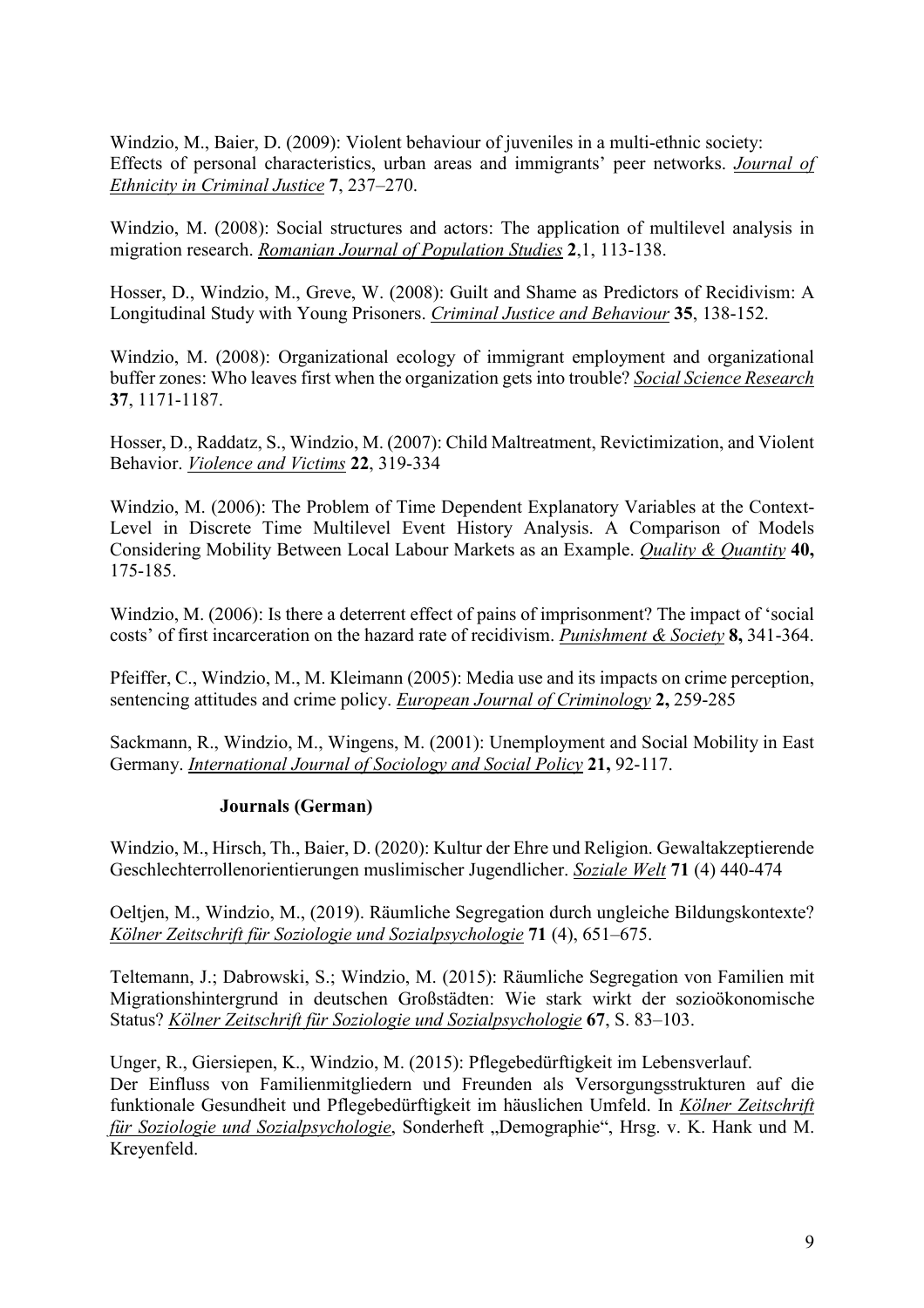Windzio, M., Baier, D. (2009): Violent behaviour of juveniles in a multi-ethnic society: Effects of personal characteristics, urban areas and immigrants' peer networks. *Journal of Ethnicity in Criminal Justice* **7**, 237–270.

Windzio, M. (2008): Social structures and actors: The application of multilevel analysis in migration research. *Romanian Journal of Population Studies* **2**,1, 113-138.

Hosser, D., Windzio, M., Greve, W. (2008): Guilt and Shame as Predictors of Recidivism: A Longitudinal Study with Young Prisoners. *Criminal Justice and Behaviour* **35**, 138-152.

Windzio, M. (2008): Organizational ecology of immigrant employment and organizational buffer zones: Who leaves first when the organization gets into trouble? *Social Science Research* **37**, 1171-1187.

Hosser, D., Raddatz, S., Windzio, M. (2007): Child Maltreatment, Revictimization, and Violent Behavior. *Violence and Victims* **22**, 319-334

Windzio, M. (2006): The Problem of Time Dependent Explanatory Variables at the Context-Level in Discrete Time Multilevel Event History Analysis. A Comparison of Models Considering Mobility Between Local Labour Markets as an Example. *Quality & Quantity* **40,** 175-185.

Windzio, M. (2006): Is there a deterrent effect of pains of imprisonment? The impact of 'social costs' of first incarceration on the hazard rate of recidivism. *Punishment & Society* **8,** 341-364.

Pfeiffer, C., Windzio, M., M. Kleimann (2005): Media use and its impacts on crime perception, sentencing attitudes and crime policy. *European Journal of Criminology* **2,** 259-285

Sackmann, R., Windzio, M., Wingens, M. (2001): Unemployment and Social Mobility in East Germany. *International Journal of Sociology and Social Policy* **21,** 92-117.

#### **Journals (German)**

Windzio, M., Hirsch, Th., Baier, D. (2020): Kultur der Ehre und Religion. Gewaltakzeptierende Geschlechterrollenorientierungen muslimischer Jugendlicher. *Soziale Welt* **71** (4) 440-474

Oeltjen, M., Windzio, M., (2019). Räumliche Segregation durch ungleiche Bildungskontexte? *Kölner Zeitschrift für Soziologie und Sozialpsychologie* **71** (4), 651–675.

Teltemann, J.; Dabrowski, S.; Windzio, M. (2015): Räumliche Segregation von Familien mit Migrationshintergrund in deutschen Großstädten: Wie stark wirkt der sozioökonomische Status? *Kölner Zeitschrift für Soziologie und Sozialpsychologie* **67**, S. 83–103.

Unger, R., Giersiepen, K., Windzio, M. (2015): Pflegebedürftigkeit im Lebensverlauf. Der Einfluss von Familienmitgliedern und Freunden als Versorgungsstrukturen auf die funktionale Gesundheit und Pflegebedürftigkeit im häuslichen Umfeld. In *Kölner Zeitschrift für Soziologie und Sozialpsychologie*, Sonderheft "Demographie", Hrsg. v. K. Hank und M. Kreyenfeld.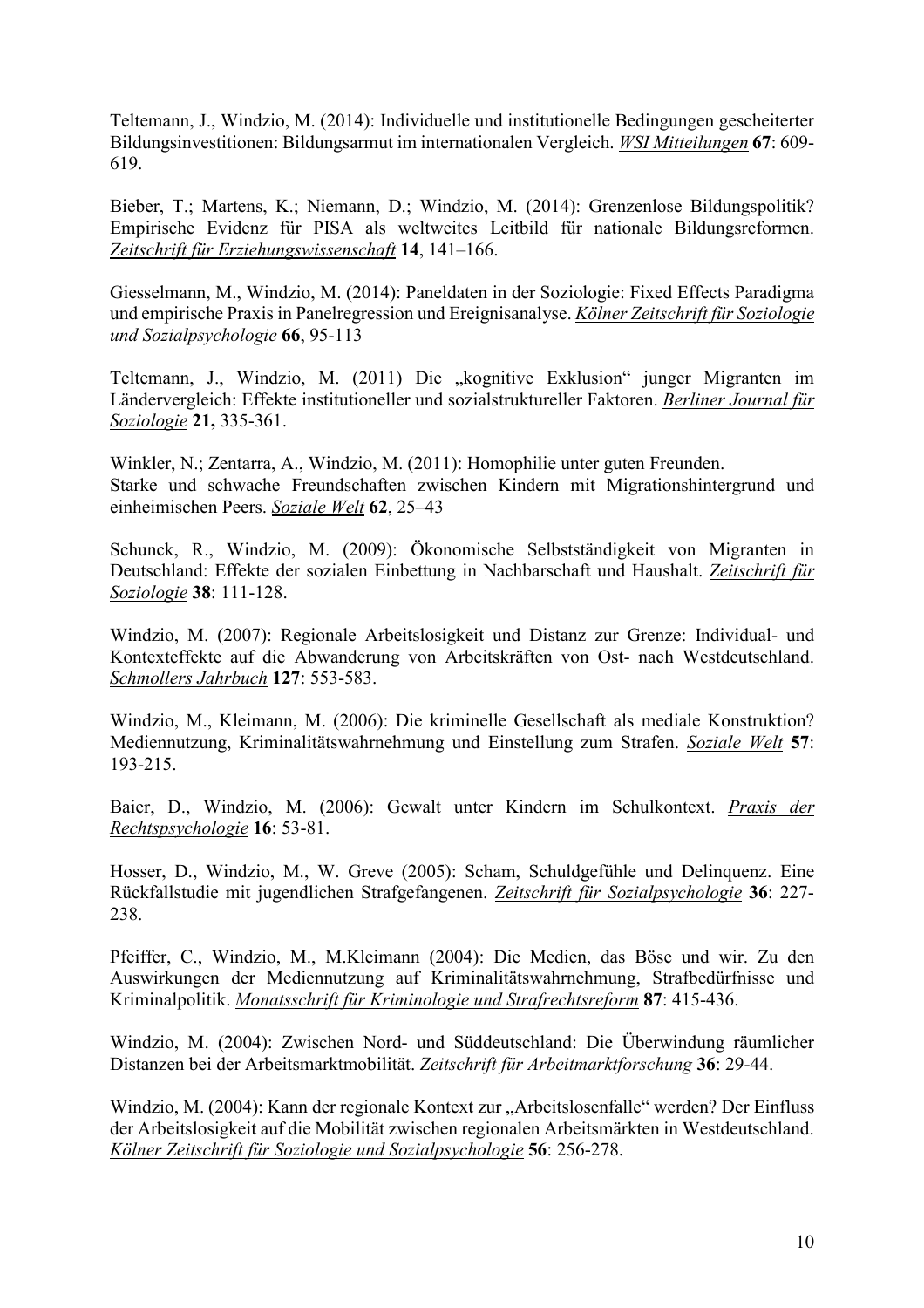Teltemann, J., Windzio, M. (2014): Individuelle und institutionelle Bedingungen gescheiterter Bildungsinvestitionen: Bildungsarmut im internationalen Vergleich. *WSI Mitteilungen* **67**: 609- 619.

Bieber, T.; Martens, K.; Niemann, D.; Windzio, M. (2014): Grenzenlose Bildungspolitik? Empirische Evidenz für PISA als weltweites Leitbild für nationale Bildungsreformen. *Zeitschrift für Erziehungswissenschaft* **14**, 141–166.

Giesselmann, M., Windzio, M. (2014): Paneldaten in der Soziologie: Fixed Effects Paradigma und empirische Praxis in Panelregression und Ereignisanalyse. *Kölner Zeitschrift für Soziologie und Sozialpsychologie* **66**, 95-113

Teltemann, J., Windzio, M. (2011) Die "kognitive Exklusion" junger Migranten im Ländervergleich: Effekte institutioneller und sozialstruktureller Faktoren. *Berliner Journal für Soziologie* **21,** 335-361.

Winkler, N.; Zentarra, A., Windzio, M. (2011): Homophilie unter guten Freunden. Starke und schwache Freundschaften zwischen Kindern mit Migrationshintergrund und einheimischen Peers. *Soziale Welt* **62**, 25–43

Schunck, R., Windzio, M. (2009): Ökonomische Selbstständigkeit von Migranten in Deutschland: Effekte der sozialen Einbettung in Nachbarschaft und Haushalt. *Zeitschrift für Soziologie* **38**: 111-128.

Windzio, M. (2007): Regionale Arbeitslosigkeit und Distanz zur Grenze: Individual- und Kontexteffekte auf die Abwanderung von Arbeitskräften von Ost- nach Westdeutschland. *Schmollers Jahrbuch* **127**: 553-583.

Windzio, M., Kleimann, M. (2006): Die kriminelle Gesellschaft als mediale Konstruktion? Mediennutzung, Kriminalitätswahrnehmung und Einstellung zum Strafen. *Soziale Welt* **57**: 193-215.

Baier, D., Windzio, M. (2006): Gewalt unter Kindern im Schulkontext. *Praxis der Rechtspsychologie* **16**: 53-81.

Hosser, D., Windzio, M., W. Greve (2005): Scham, Schuldgefühle und Delinquenz. Eine Rückfallstudie mit jugendlichen Strafgefangenen. *Zeitschrift für Sozialpsychologie* **36**: 227- 238.

Pfeiffer, C., Windzio, M., M.Kleimann (2004): Die Medien, das Böse und wir. Zu den Auswirkungen der Mediennutzung auf Kriminalitätswahrnehmung, Strafbedürfnisse und Kriminalpolitik. *Monatsschrift für Kriminologie und Strafrechtsreform* **87**: 415-436.

Windzio, M. (2004): Zwischen Nord- und Süddeutschland: Die Überwindung räumlicher Distanzen bei der Arbeitsmarktmobilität. *Zeitschrift für Arbeitmarktforschung* **36**: 29-44.

Windzio, M. (2004): Kann der regionale Kontext zur "Arbeitslosenfalle" werden? Der Einfluss der Arbeitslosigkeit auf die Mobilität zwischen regionalen Arbeitsmärkten in Westdeutschland. *Kölner Zeitschrift für Soziologie und Sozialpsychologie* **56**: 256-278.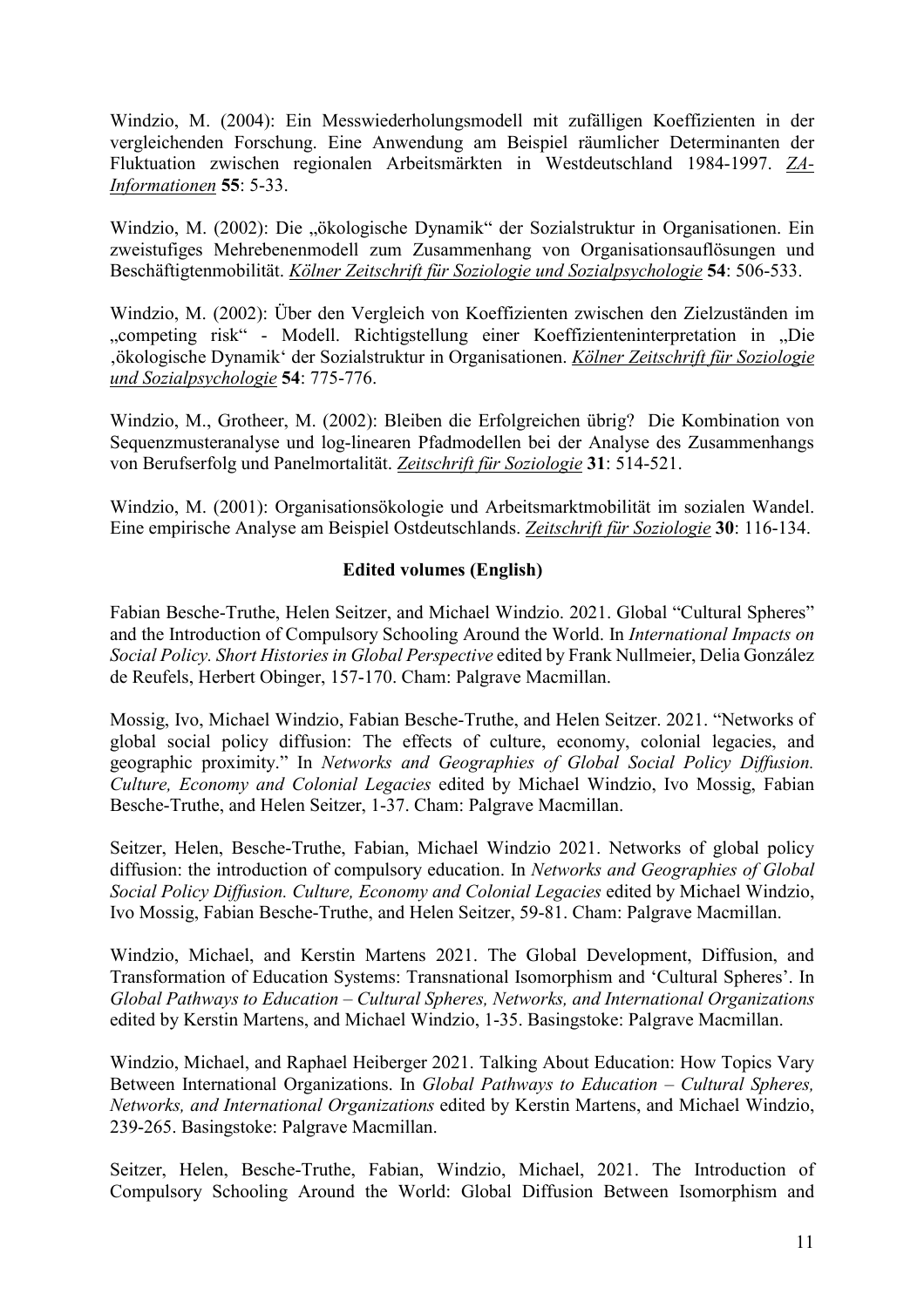Windzio, M. (2004): Ein Messwiederholungsmodell mit zufälligen Koeffizienten in der vergleichenden Forschung. Eine Anwendung am Beispiel räumlicher Determinanten der Fluktuation zwischen regionalen Arbeitsmärkten in Westdeutschland 1984-1997. *ZA-Informationen* **55**: 5-33.

Windzio, M. (2002): Die "ökologische Dynamik" der Sozialstruktur in Organisationen. Ein zweistufiges Mehrebenenmodell zum Zusammenhang von Organisationsauflösungen und Beschäftigtenmobilität. *Kölner Zeitschrift für Soziologie und Sozialpsychologie* **54**: 506-533.

Windzio, M. (2002): Über den Vergleich von Koeffizienten zwischen den Zielzuständen im "competing risk" - Modell. Richtigstellung einer Koeffizienteninterpretation in "Die 'ökologische Dynamik' der Sozialstruktur in Organisationen. *Kölner Zeitschrift für Soziologie und Sozialpsychologie* **54**: 775-776.

Windzio, M., Grotheer, M. (2002): Bleiben die Erfolgreichen übrig? Die Kombination von Sequenzmusteranalyse und log-linearen Pfadmodellen bei der Analyse des Zusammenhangs von Berufserfolg und Panelmortalität. *Zeitschrift für Soziologie* **31**: 514-521.

Windzio, M. (2001): Organisationsökologie und Arbeitsmarktmobilität im sozialen Wandel. Eine empirische Analyse am Beispiel Ostdeutschlands. *Zeitschrift für Soziologie* **30**: 116-134.

## **Edited volumes (English)**

Fabian Besche-Truthe, Helen Seitzer, and Michael Windzio. 2021. Global "Cultural Spheres" and the Introduction of Compulsory Schooling Around the World. In *International Impacts on Social Policy. Short Histories in Global Perspective* edited by Frank Nullmeier, Delia González de Reufels, Herbert Obinger, 157-170. Cham: Palgrave Macmillan.

Mossig, Ivo, Michael Windzio, Fabian Besche-Truthe, and Helen Seitzer. 2021. "Networks of global social policy diffusion: The effects of culture, economy, colonial legacies, and geographic proximity." In *Networks and Geographies of Global Social Policy Diffusion. Culture, Economy and Colonial Legacies* edited by Michael Windzio, Ivo Mossig, Fabian Besche-Truthe, and Helen Seitzer, 1-37. Cham: Palgrave Macmillan.

Seitzer, Helen, Besche-Truthe, Fabian, Michael Windzio 2021. Networks of global policy diffusion: the introduction of compulsory education. In *Networks and Geographies of Global Social Policy Diffusion. Culture, Economy and Colonial Legacies* edited by Michael Windzio, Ivo Mossig, Fabian Besche-Truthe, and Helen Seitzer, 59-81. Cham: Palgrave Macmillan.

Windzio, Michael, and Kerstin Martens 2021. The Global Development, Diffusion, and Transformation of Education Systems: Transnational Isomorphism and 'Cultural Spheres'. In *Global Pathways to Education – Cultural Spheres, Networks, and International Organizations* edited by Kerstin Martens, and Michael Windzio, 1-35. Basingstoke: Palgrave Macmillan.

Windzio, Michael, and Raphael Heiberger 2021. Talking About Education: How Topics Vary Between International Organizations. In *Global Pathways to Education – Cultural Spheres, Networks, and International Organizations* edited by Kerstin Martens, and Michael Windzio, 239-265. Basingstoke: Palgrave Macmillan.

Seitzer, Helen, Besche-Truthe, Fabian, Windzio, Michael, 2021. The Introduction of Compulsory Schooling Around the World: Global Diffusion Between Isomorphism and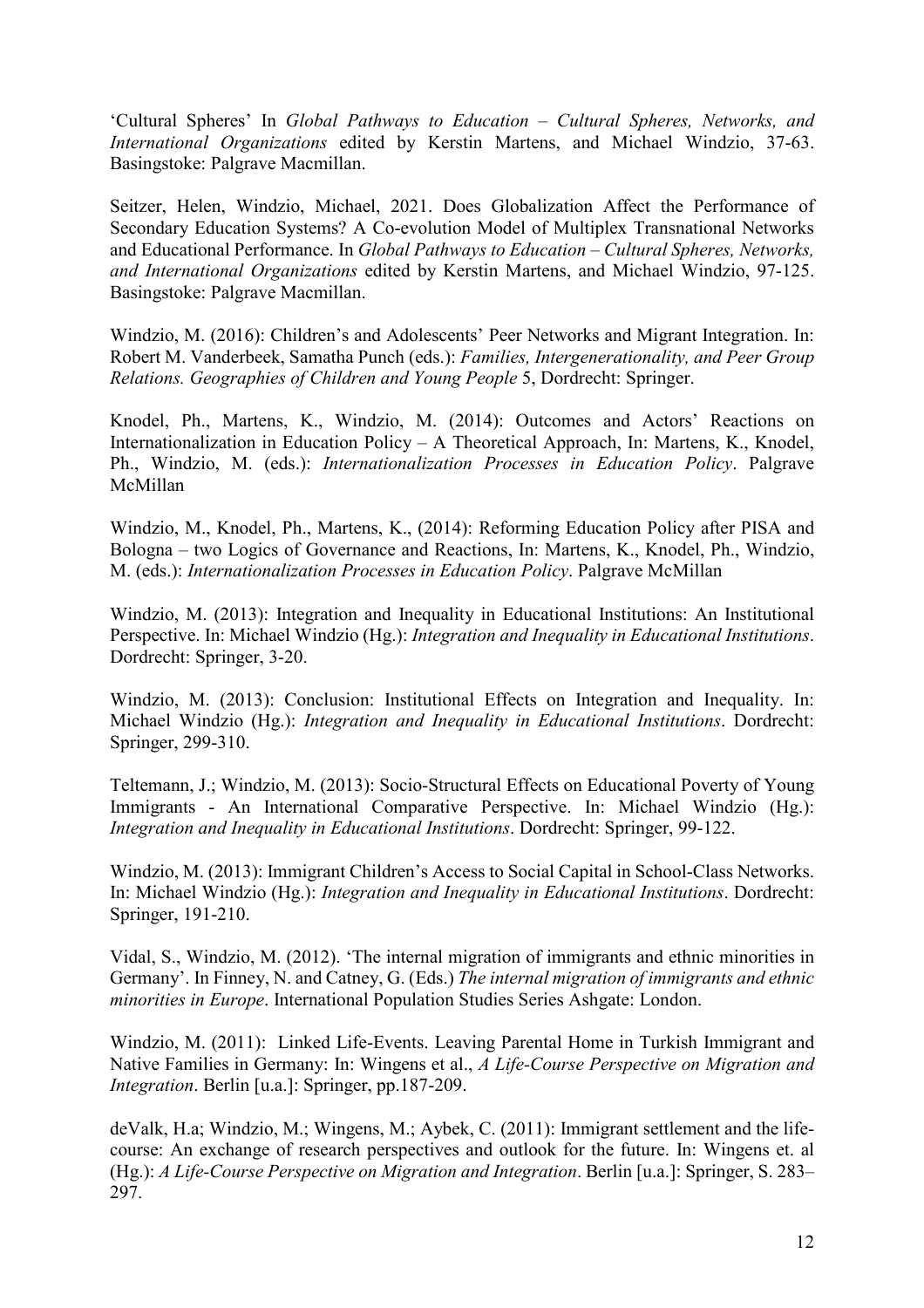'Cultural Spheres' In *Global Pathways to Education – Cultural Spheres, Networks, and International Organizations* edited by Kerstin Martens, and Michael Windzio, 37-63. Basingstoke: Palgrave Macmillan.

Seitzer, Helen, Windzio, Michael, 2021. Does Globalization Affect the Performance of Secondary Education Systems? A Co-evolution Model of Multiplex Transnational Networks and Educational Performance. In *Global Pathways to Education – Cultural Spheres, Networks, and International Organizations* edited by Kerstin Martens, and Michael Windzio, 97-125. Basingstoke: Palgrave Macmillan.

Windzio, M. (2016): Children's and Adolescents' Peer Networks and Migrant Integration. In: Robert M. Vanderbeek, Samatha Punch (eds.): *Families, Intergenerationality, and Peer Group Relations. Geographies of Children and Young People* 5, Dordrecht: Springer.

Knodel, Ph., Martens, K., Windzio, M. (2014): Outcomes and Actors' Reactions on Internationalization in Education Policy – A Theoretical Approach, In: Martens, K., Knodel, Ph., Windzio, M. (eds.): *Internationalization Processes in Education Policy*. Palgrave McMillan

Windzio, M., Knodel, Ph., Martens, K., (2014): Reforming Education Policy after PISA and Bologna – two Logics of Governance and Reactions, In: Martens, K., Knodel, Ph., Windzio, M. (eds.): *Internationalization Processes in Education Policy*. Palgrave McMillan

Windzio, M. (2013): Integration and Inequality in Educational Institutions: An Institutional Perspective. In: Michael Windzio (Hg.): *Integration and Inequality in Educational Institutions*. Dordrecht: Springer, 3-20.

Windzio, M. (2013): Conclusion: Institutional Effects on Integration and Inequality. In: Michael Windzio (Hg.): *Integration and Inequality in Educational Institutions*. Dordrecht: Springer, 299-310.

Teltemann, J.; Windzio, M. (2013): Socio-Structural Effects on Educational Poverty of Young Immigrants - An International Comparative Perspective. In: Michael Windzio (Hg.): *Integration and Inequality in Educational Institutions*. Dordrecht: Springer, 99-122.

Windzio, M. (2013): Immigrant Children's Access to Social Capital in School-Class Networks. In: Michael Windzio (Hg.): *Integration and Inequality in Educational Institutions*. Dordrecht: Springer, 191-210.

Vidal, S., Windzio, M. (2012). 'The internal migration of immigrants and ethnic minorities in Germany'. In Finney, N. and Catney, G. (Eds.) *The internal migration of immigrants and ethnic minorities in Europe*. International Population Studies Series Ashgate: London.

Windzio, M. (2011): Linked Life-Events. Leaving Parental Home in Turkish Immigrant and Native Families in Germany: In: Wingens et al., *A Life-Course Perspective on Migration and Integration*. Berlin [u.a.]: Springer, pp.187-209.

deValk, H.a; Windzio, M.; Wingens, M.; Aybek, C. (2011): Immigrant settlement and the lifecourse: An exchange of research perspectives and outlook for the future. In: Wingens et. al (Hg.): *A Life-Course Perspective on Migration and Integration*. Berlin [u.a.]: Springer, S. 283– 297.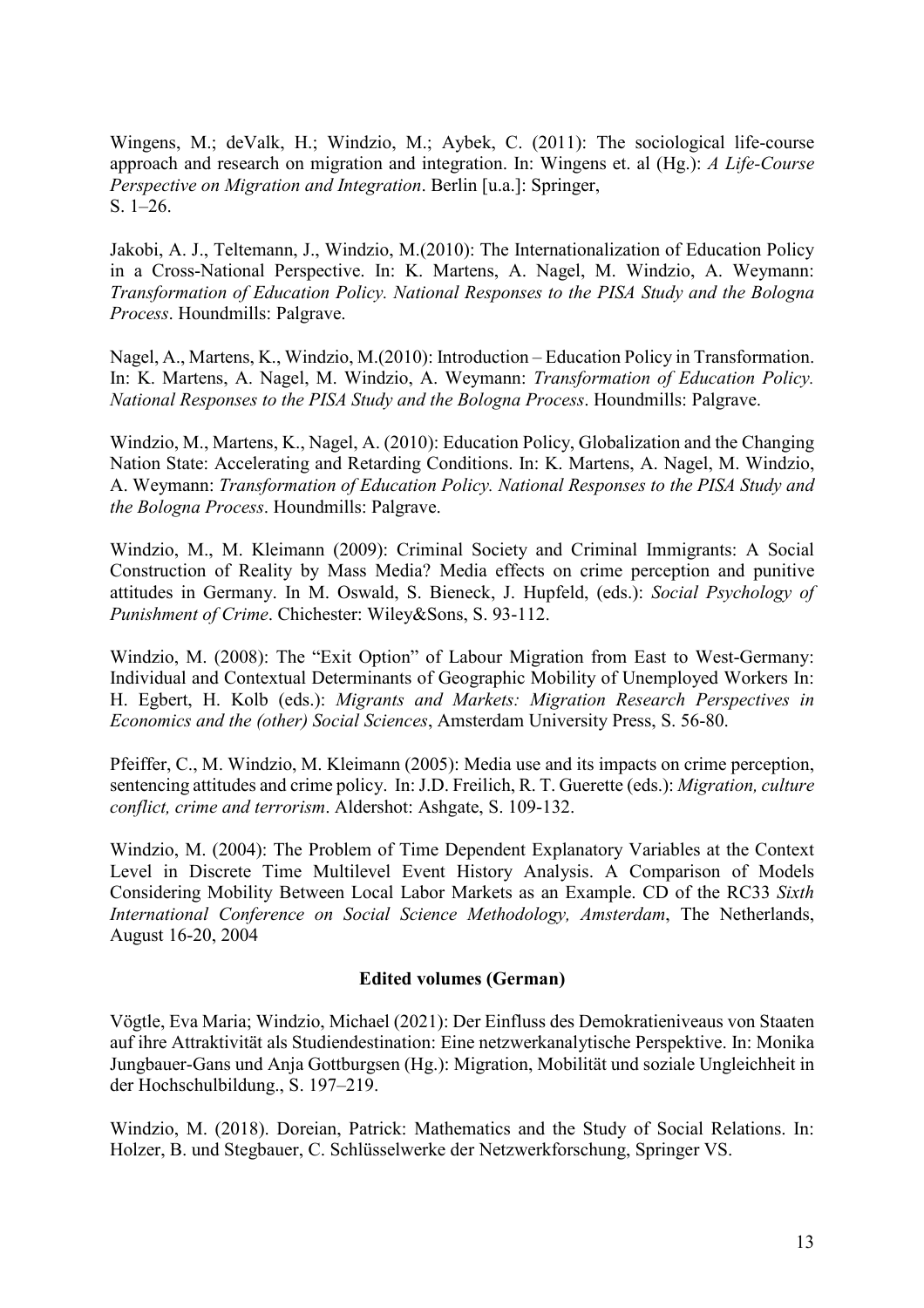Wingens, M.; deValk, H.; Windzio, M.; Aybek, C. (2011): The sociological life-course approach and research on migration and integration. In: Wingens et. al (Hg.): *A Life-Course Perspective on Migration and Integration*. Berlin [u.a.]: Springer, S. 1–26.

Jakobi, A. J., Teltemann, J., Windzio, M.(2010): The Internationalization of Education Policy in a Cross-National Perspective. In: K. Martens, A. Nagel, M. Windzio, A. Weymann: *Transformation of Education Policy. National Responses to the PISA Study and the Bologna Process*. Houndmills: Palgrave.

Nagel, A., Martens, K., Windzio, M.(2010): Introduction – Education Policy in Transformation. In: K. Martens, A. Nagel, M. Windzio, A. Weymann: *Transformation of Education Policy. National Responses to the PISA Study and the Bologna Process*. Houndmills: Palgrave.

Windzio, M., Martens, K., Nagel, A. (2010): Education Policy, Globalization and the Changing Nation State: Accelerating and Retarding Conditions. In: K. Martens, A. Nagel, M. Windzio, A. Weymann: *Transformation of Education Policy. National Responses to the PISA Study and the Bologna Process*. Houndmills: Palgrave.

Windzio, M., M. Kleimann (2009): Criminal Society and Criminal Immigrants: A Social Construction of Reality by Mass Media? Media effects on crime perception and punitive attitudes in Germany. In M. Oswald, S. Bieneck, J. Hupfeld, (eds.): *Social Psychology of Punishment of Crime*. Chichester: Wiley&Sons, S. 93-112.

Windzio, M. (2008): The "Exit Option" of Labour Migration from East to West-Germany: Individual and Contextual Determinants of Geographic Mobility of Unemployed Workers In: H. Egbert, H. Kolb (eds.): *Migrants and Markets: Migration Research Perspectives in Economics and the (other) Social Sciences*, Amsterdam University Press, S. 56-80.

Pfeiffer, C., M. Windzio, M. Kleimann (2005): Media use and its impacts on crime perception, sentencing attitudes and crime policy. In: J.D. Freilich, R. T. Guerette (eds.): *Migration, culture conflict, crime and terrorism*. Aldershot: Ashgate, S. 109-132.

Windzio, M. (2004): The Problem of Time Dependent Explanatory Variables at the Context Level in Discrete Time Multilevel Event History Analysis. A Comparison of Models Considering Mobility Between Local Labor Markets as an Example. CD of the RC33 *Sixth International Conference on Social Science Methodology, Amsterdam*, The Netherlands, August 16-20, 2004

## **Edited volumes (German)**

Vögtle, Eva Maria; Windzio, Michael (2021): Der Einfluss des Demokratieniveaus von Staaten auf ihre Attraktivität als Studiendestination: Eine netzwerkanalytische Perspektive. In: Monika Jungbauer-Gans und Anja Gottburgsen (Hg.): Migration, Mobilität und soziale Ungleichheit in der Hochschulbildung., S. 197–219.

Windzio, M. (2018). Doreian, Patrick: Mathematics and the Study of Social Relations. In: Holzer, B. und Stegbauer, C. Schlüsselwerke der Netzwerkforschung, Springer VS.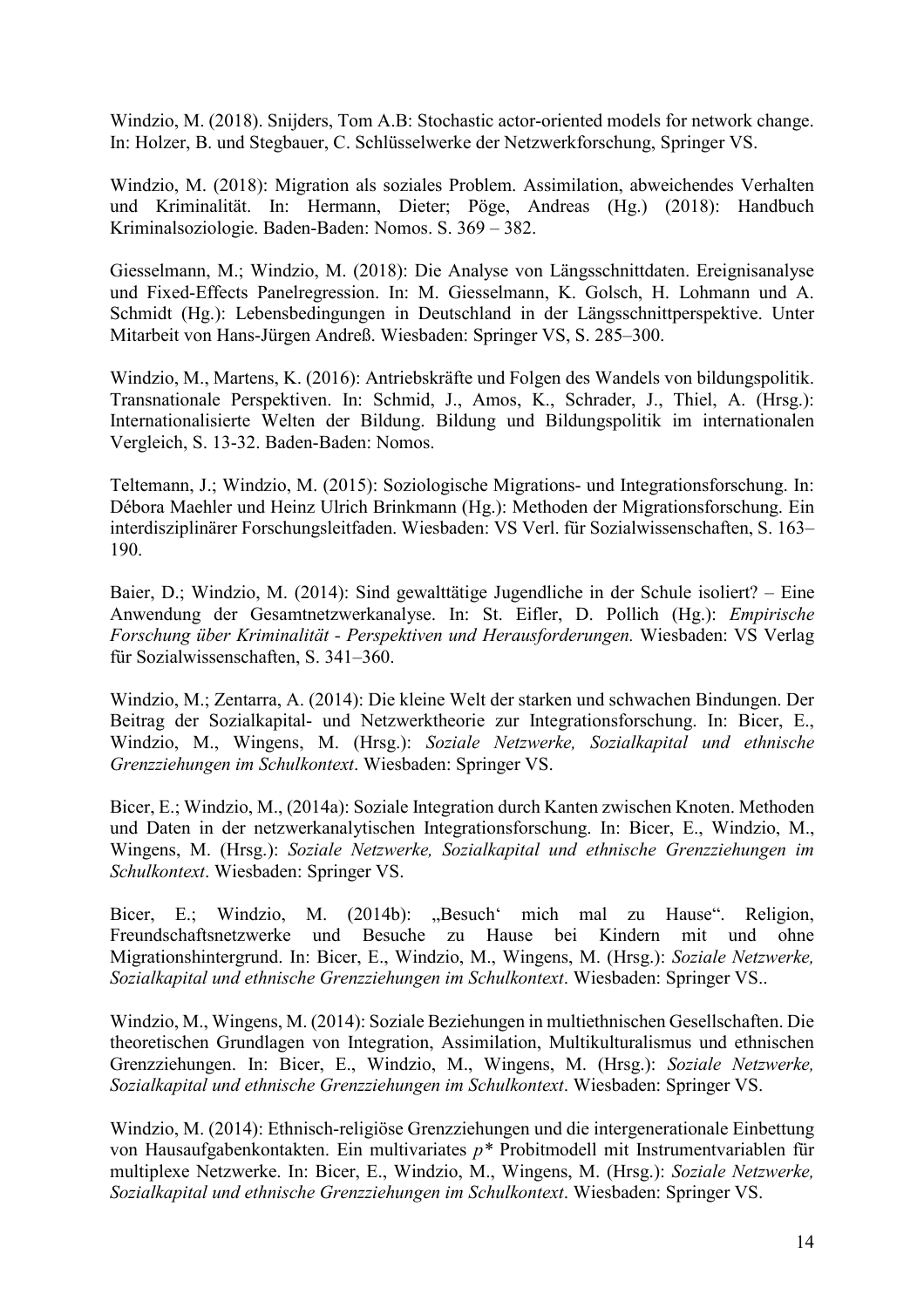Windzio, M. (2018). Snijders, Tom A.B: Stochastic actor-oriented models for network change. In: Holzer, B. und Stegbauer, C. Schlüsselwerke der Netzwerkforschung, Springer VS.

Windzio, M. (2018): Migration als soziales Problem. Assimilation, abweichendes Verhalten und Kriminalität. In: Hermann, Dieter; Pöge, Andreas (Hg.) (2018): Handbuch Kriminalsoziologie. Baden-Baden: Nomos. S. 369 – 382.

Giesselmann, M.; Windzio, M. (2018): Die Analyse von Längsschnittdaten. Ereignisanalyse und Fixed-Effects Panelregression. In: M. Giesselmann, K. Golsch, H. Lohmann und A. Schmidt (Hg.): Lebensbedingungen in Deutschland in der Längsschnittperspektive. Unter Mitarbeit von Hans-Jürgen Andreß. Wiesbaden: Springer VS, S. 285–300.

Windzio, M., Martens, K. (2016): Antriebskräfte und Folgen des Wandels von bildungspolitik. Transnationale Perspektiven. In: Schmid, J., Amos, K., Schrader, J., Thiel, A. (Hrsg.): Internationalisierte Welten der Bildung. Bildung und Bildungspolitik im internationalen Vergleich, S. 13-32. Baden-Baden: Nomos.

Teltemann, J.; Windzio, M. (2015): Soziologische Migrations- und Integrationsforschung. In: Débora Maehler und Heinz Ulrich Brinkmann (Hg.): Methoden der Migrationsforschung. Ein interdisziplinärer Forschungsleitfaden. Wiesbaden: VS Verl. für Sozialwissenschaften, S. 163– 190.

Baier, D.; Windzio, M. (2014): Sind gewalttätige Jugendliche in der Schule isoliert? – Eine Anwendung der Gesamtnetzwerkanalyse. In: St. Eifler, D. Pollich (Hg.): *Empirische Forschung über Kriminalität - Perspektiven und Herausforderungen.* Wiesbaden: VS Verlag für Sozialwissenschaften, S. 341–360.

Windzio, M.; Zentarra, A. (2014): Die kleine Welt der starken und schwachen Bindungen. Der Beitrag der Sozialkapital- und Netzwerktheorie zur Integrationsforschung. In: Bicer, E., Windzio, M., Wingens, M. (Hrsg.): *Soziale Netzwerke, Sozialkapital und ethnische Grenzziehungen im Schulkontext*. Wiesbaden: Springer VS.

Bicer, E.; Windzio, M., (2014a): Soziale Integration durch Kanten zwischen Knoten. Methoden und Daten in der netzwerkanalytischen Integrationsforschung. In: Bicer, E., Windzio, M., Wingens, M. (Hrsg.): *Soziale Netzwerke, Sozialkapital und ethnische Grenzziehungen im Schulkontext*. Wiesbaden: Springer VS.

Bicer, E.; Windzio, M. (2014b): "Besuch' mich mal zu Hause". Religion, Freundschaftsnetzwerke und Besuche zu Hause bei Kindern mit und ohne Migrationshintergrund. In: Bicer, E., Windzio, M., Wingens, M. (Hrsg.): *Soziale Netzwerke, Sozialkapital und ethnische Grenzziehungen im Schulkontext*. Wiesbaden: Springer VS..

Windzio, M., Wingens, M. (2014): Soziale Beziehungen in multiethnischen Gesellschaften. Die theoretischen Grundlagen von Integration, Assimilation, Multikulturalismus und ethnischen Grenzziehungen. In: Bicer, E., Windzio, M., Wingens, M. (Hrsg.): *Soziale Netzwerke, Sozialkapital und ethnische Grenzziehungen im Schulkontext*. Wiesbaden: Springer VS.

Windzio, M. (2014): Ethnisch-religiöse Grenzziehungen und die intergenerationale Einbettung von Hausaufgabenkontakten. Ein multivariates *p\** Probitmodell mit Instrumentvariablen für multiplexe Netzwerke. In: Bicer, E., Windzio, M., Wingens, M. (Hrsg.): *Soziale Netzwerke, Sozialkapital und ethnische Grenzziehungen im Schulkontext*. Wiesbaden: Springer VS.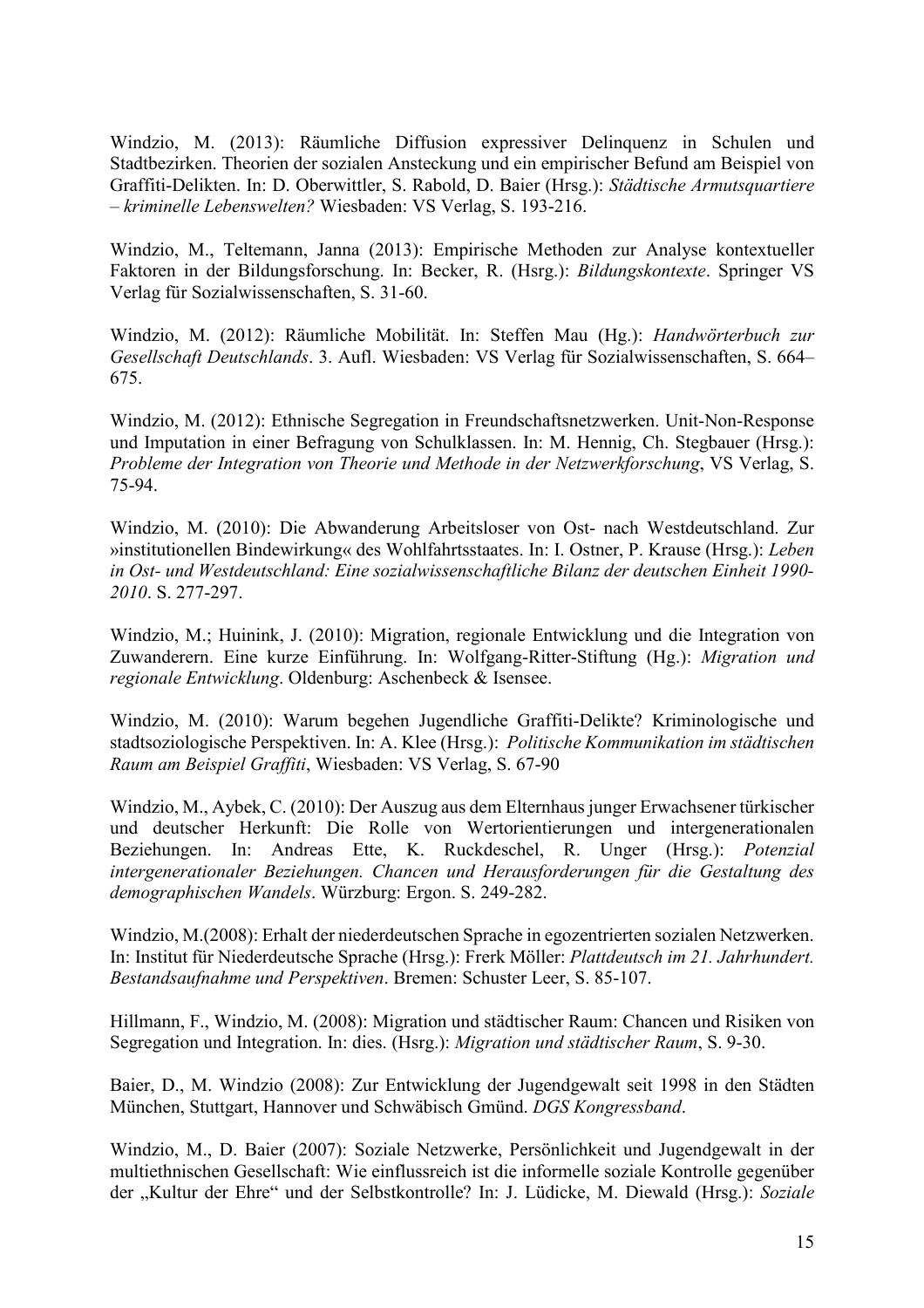Windzio, M. (2013): Räumliche Diffusion expressiver Delinquenz in Schulen und Stadtbezirken. Theorien der sozialen Ansteckung und ein empirischer Befund am Beispiel von Graffiti-Delikten. In: D. Oberwittler, S. Rabold, D. Baier (Hrsg.): *Städtische Armutsquartiere – kriminelle Lebenswelten?* Wiesbaden: VS Verlag, S. 193-216.

Windzio, M., Teltemann, Janna (2013): Empirische Methoden zur Analyse kontextueller Faktoren in der Bildungsforschung. In: Becker, R. (Hsrg.): *Bildungskontexte*. Springer VS Verlag für Sozialwissenschaften, S. 31-60.

Windzio, M. (2012): Räumliche Mobilität. In: Steffen Mau (Hg.): *Handwörterbuch zur Gesellschaft Deutschlands*. 3. Aufl. Wiesbaden: VS Verlag für Sozialwissenschaften, S. 664– 675.

Windzio, M. (2012): Ethnische Segregation in Freundschaftsnetzwerken. Unit-Non-Response und Imputation in einer Befragung von Schulklassen. In: M. Hennig, Ch. Stegbauer (Hrsg.): *Probleme der Integration von Theorie und Methode in der Netzwerkforschung*, VS Verlag, S. 75-94.

Windzio, M. (2010): Die Abwanderung Arbeitsloser von Ost- nach Westdeutschland. Zur »institutionellen Bindewirkung« des Wohlfahrtsstaates. In: I. Ostner, P. Krause (Hrsg.): *Leben in Ost- und Westdeutschland: Eine sozialwissenschaftliche Bilanz der deutschen Einheit 1990- 2010*. S. 277-297.

Windzio, M.; Huinink, J. (2010): Migration, regionale Entwicklung und die Integration von Zuwanderern. Eine kurze Einführung. In: Wolfgang-Ritter-Stiftung (Hg.): *Migration und regionale Entwicklung*. Oldenburg: Aschenbeck & Isensee.

Windzio, M. (2010): Warum begehen Jugendliche Graffiti-Delikte? Kriminologische und stadtsoziologische Perspektiven. In: A. Klee (Hrsg.): *Politische Kommunikation im städtischen Raum am Beispiel Graffiti*, Wiesbaden: VS Verlag, S. 67-90

Windzio, M., Aybek, C. (2010): Der Auszug aus dem Elternhaus junger Erwachsener türkischer und deutscher Herkunft: Die Rolle von Wertorientierungen und intergenerationalen Beziehungen. In: Andreas Ette, K. Ruckdeschel, R. Unger (Hrsg.): *Potenzial intergenerationaler Beziehungen. Chancen und Herausforderungen für die Gestaltung des demographischen Wandels*. Würzburg: Ergon. S. 249-282.

Windzio, M.(2008): Erhalt der niederdeutschen Sprache in egozentrierten sozialen Netzwerken. In: Institut für Niederdeutsche Sprache (Hrsg.): Frerk Möller: *Plattdeutsch im 21. Jahrhundert. Bestandsaufnahme und Perspektiven*. Bremen: Schuster Leer, S. 85-107.

Hillmann, F., Windzio, M. (2008): Migration und städtischer Raum: Chancen und Risiken von Segregation und Integration. In: dies. (Hsrg.): *Migration und städtischer Raum*, S. 9-30.

Baier, D., M. Windzio (2008): Zur Entwicklung der Jugendgewalt seit 1998 in den Städten München, Stuttgart, Hannover und Schwäbisch Gmünd. *DGS Kongressband*.

Windzio, M., D. Baier (2007): Soziale Netzwerke, Persönlichkeit und Jugendgewalt in der multiethnischen Gesellschaft: Wie einflussreich ist die informelle soziale Kontrolle gegenüber der "Kultur der Ehre" und der Selbstkontrolle? In: J. Lüdicke, M. Diewald (Hrsg.): *Soziale*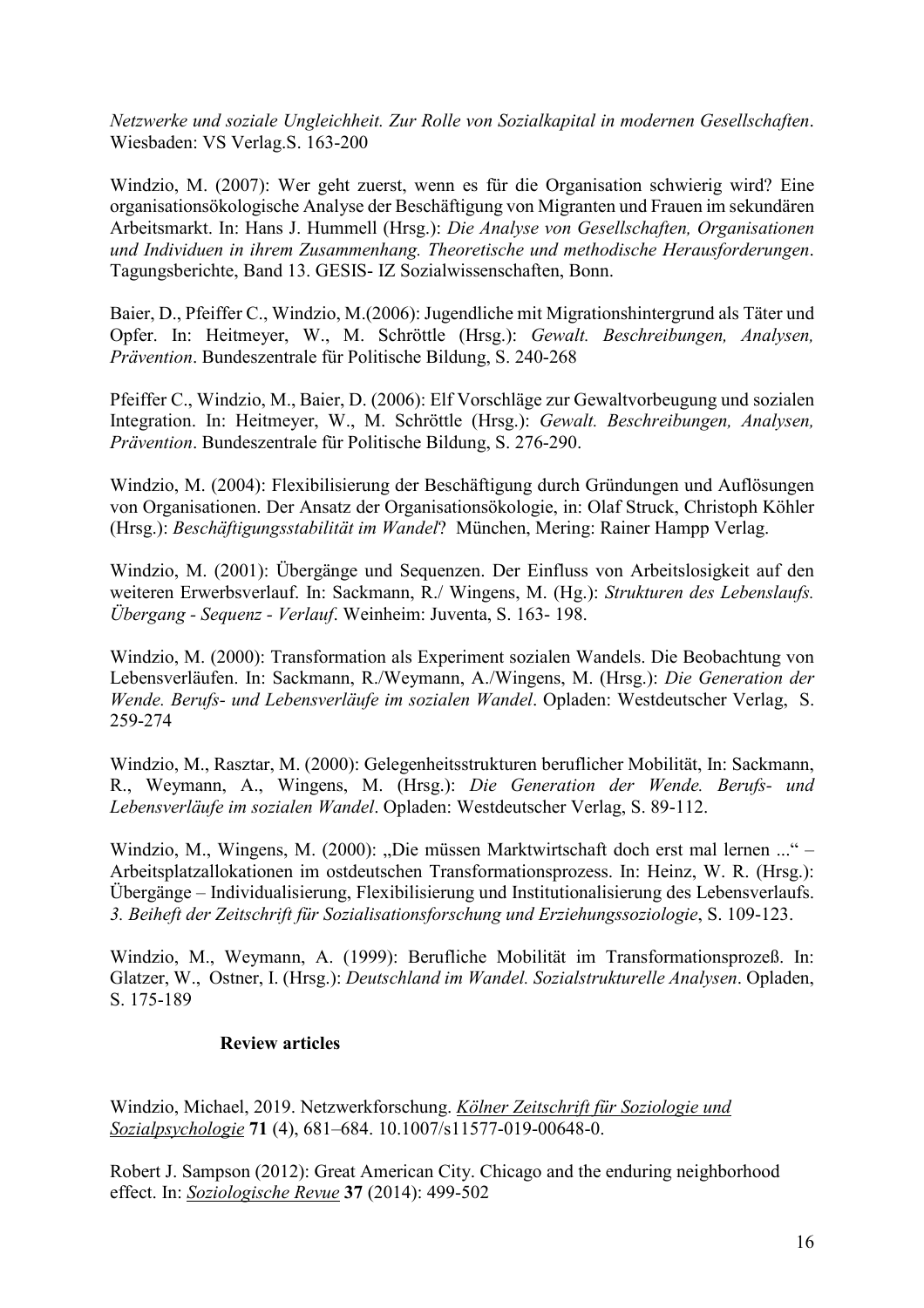*Netzwerke und soziale Ungleichheit. Zur Rolle von Sozialkapital in modernen Gesellschaften*. Wiesbaden: VS Verlag.S. 163-200

Windzio, M. (2007): Wer geht zuerst, wenn es für die Organisation schwierig wird? Eine organisationsökologische Analyse der Beschäftigung von Migranten und Frauen im sekundären Arbeitsmarkt. In: Hans J. Hummell (Hrsg.): *Die Analyse von Gesellschaften, Organisationen und Individuen in ihrem Zusammenhang. Theoretische und methodische Herausforderungen*. Tagungsberichte, Band 13. GESIS- IZ Sozialwissenschaften, Bonn.

Baier, D., Pfeiffer C., Windzio, M.(2006): Jugendliche mit Migrationshintergrund als Täter und Opfer. In: Heitmeyer, W., M. Schröttle (Hrsg.): *Gewalt. Beschreibungen, Analysen, Prävention*. Bundeszentrale für Politische Bildung, S. 240-268

Pfeiffer C., Windzio, M., Baier, D. (2006): Elf Vorschläge zur Gewaltvorbeugung und sozialen Integration. In: Heitmeyer, W., M. Schröttle (Hrsg.): *Gewalt. Beschreibungen, Analysen, Prävention*. Bundeszentrale für Politische Bildung, S. 276-290.

Windzio, M. (2004): Flexibilisierung der Beschäftigung durch Gründungen und Auflösungen von Organisationen. Der Ansatz der Organisationsökologie, in: Olaf Struck, Christoph Köhler (Hrsg.): *Beschäftigungsstabilität im Wandel*? München, Mering: Rainer Hampp Verlag.

Windzio, M. (2001): Übergänge und Sequenzen. Der Einfluss von Arbeitslosigkeit auf den weiteren Erwerbsverlauf. In: Sackmann, R./ Wingens, M. (Hg.): *Strukturen des Lebenslaufs. Übergang - Sequenz - Verlauf*. Weinheim: Juventa, S. 163- 198.

Windzio, M. (2000): Transformation als Experiment sozialen Wandels. Die Beobachtung von Lebensverläufen. In: Sackmann, R./Weymann, A./Wingens, M. (Hrsg.): *Die Generation der Wende. Berufs- und Lebensverläufe im sozialen Wandel*. Opladen: Westdeutscher Verlag, S. 259-274

Windzio, M., Rasztar, M. (2000): Gelegenheitsstrukturen beruflicher Mobilität, In: Sackmann, R., Weymann, A., Wingens, M. (Hrsg.): *Die Generation der Wende. Berufs- und Lebensverläufe im sozialen Wandel*. Opladen: Westdeutscher Verlag, S. 89-112.

Windzio, M., Wingens, M. (2000): "Die müssen Marktwirtschaft doch erst mal lernen ..." – Arbeitsplatzallokationen im ostdeutschen Transformationsprozess. In: Heinz, W. R. (Hrsg.): Übergänge – Individualisierung, Flexibilisierung und Institutionalisierung des Lebensverlaufs. *3. Beiheft der Zeitschrift für Sozialisationsforschung und Erziehungssoziologie*, S. 109-123.

Windzio, M., Weymann, A. (1999): Berufliche Mobilität im Transformationsprozeß. In: Glatzer, W., Ostner, I. (Hrsg.): *Deutschland im Wandel. Sozialstrukturelle Analysen*. Opladen, S. 175-189

#### **Review articles**

Windzio, Michael, 2019. Netzwerkforschung. *Kölner Zeitschrift für Soziologie und Sozialpsychologie* **71** (4), 681–684. 10.1007/s11577-019-00648-0.

Robert J. Sampson (2012): Great American City. Chicago and the enduring neighborhood effect. In: *Soziologische Revue* **37** (2014): 499-502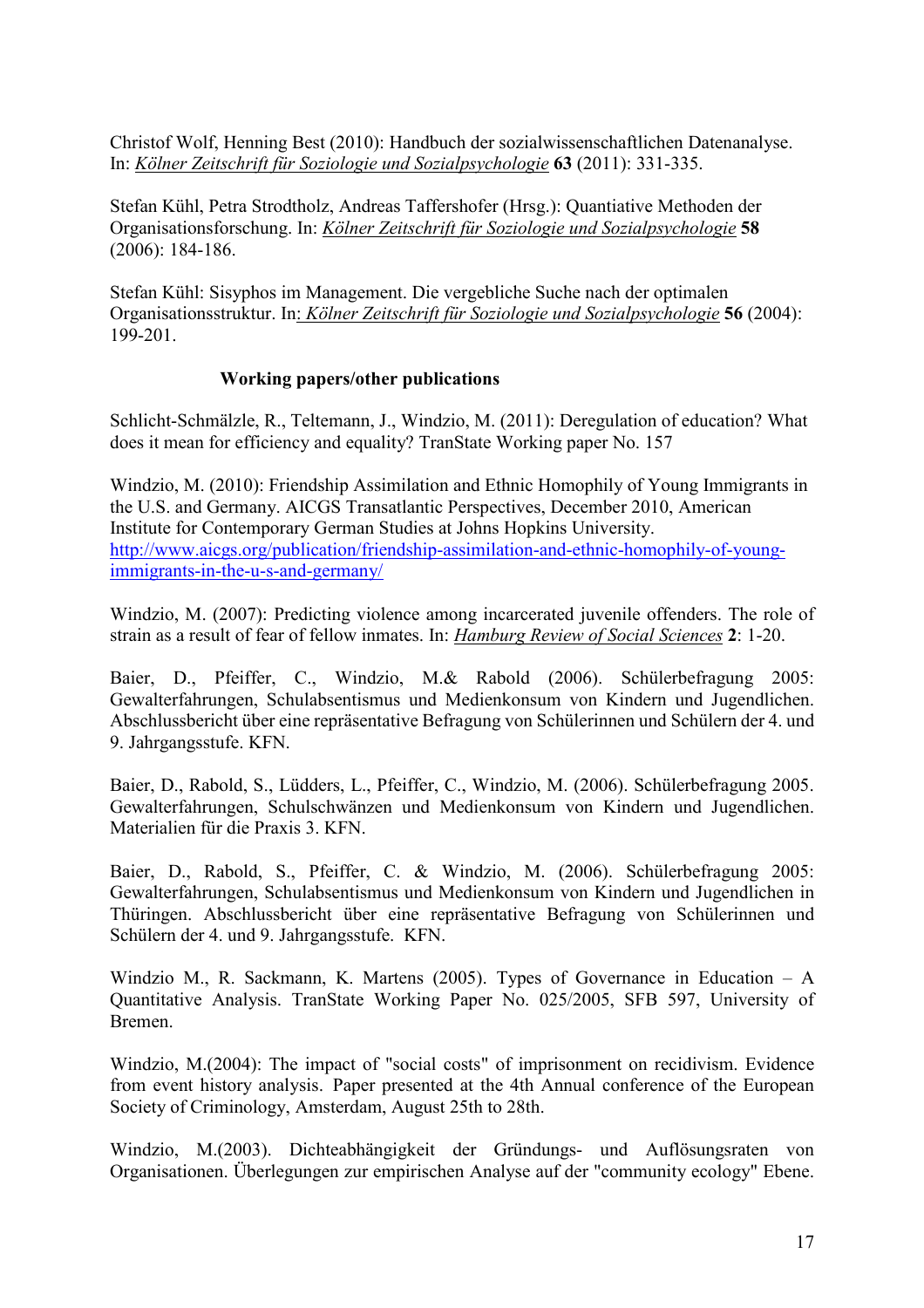Christof Wolf, Henning Best (2010): Handbuch der sozialwissenschaftlichen Datenanalyse. In: *Kölner Zeitschrift für Soziologie und Sozialpsychologie* **63** (2011): 331-335.

Stefan Kühl, Petra Strodtholz, Andreas Taffershofer (Hrsg.): Quantiative Methoden der Organisationsforschung. In: *Kölner Zeitschrift für Soziologie und Sozialpsychologie* **58** (2006): 184-186.

Stefan Kühl: Sisyphos im Management. Die vergebliche Suche nach der optimalen Organisationsstruktur. In: *Kölner Zeitschrift für Soziologie und Sozialpsychologie* **56** (2004): 199-201.

## **Working papers/other publications**

Schlicht-Schmälzle, R., Teltemann, J., Windzio, M. (2011): Deregulation of education? What does it mean for efficiency and equality? TranState Working paper No. 157

Windzio, M. (2010): Friendship Assimilation and Ethnic Homophily of Young Immigrants in the U.S. and Germany. AICGS Transatlantic Perspectives, December 2010, American Institute for Contemporary German Studies at Johns Hopkins University. http://www.aicgs.org/publication/friendship-assimilation-and-ethnic-homophily-of-youngimmigrants-in-the-u-s-and-germany/

Windzio, M. (2007): Predicting violence among incarcerated juvenile offenders. The role of strain as a result of fear of fellow inmates. In: *Hamburg Review of Social Sciences* **2**: 1-20.

Baier, D., Pfeiffer, C., Windzio, M.& Rabold (2006). Schülerbefragung 2005: Gewalterfahrungen, Schulabsentismus und Medienkonsum von Kindern und Jugendlichen. Abschlussbericht über eine repräsentative Befragung von Schülerinnen und Schülern der 4. und 9. Jahrgangsstufe. KFN.

Baier, D., Rabold, S., Lüdders, L., Pfeiffer, C., Windzio, M. (2006). Schülerbefragung 2005. Gewalterfahrungen, Schulschwänzen und Medienkonsum von Kindern und Jugendlichen. Materialien für die Praxis 3. KFN.

Baier, D., Rabold, S., Pfeiffer, C. & Windzio, M. (2006). Schülerbefragung 2005: Gewalterfahrungen, Schulabsentismus und Medienkonsum von Kindern und Jugendlichen in Thüringen. Abschlussbericht über eine repräsentative Befragung von Schülerinnen und Schülern der 4. und 9. Jahrgangsstufe. KFN.

Windzio M., R. Sackmann, K. Martens (2005). Types of Governance in Education – A Quantitative Analysis. TranState Working Paper No. 025/2005, SFB 597, University of Bremen.

Windzio, M.(2004): The impact of "social costs" of imprisonment on recidivism. Evidence from event history analysis. Paper presented at the 4th Annual conference of the European Society of Criminology, Amsterdam, August 25th to 28th.

Windzio, M.(2003). Dichteabhängigkeit der Gründungs- und Auflösungsraten von Organisationen. Überlegungen zur empirischen Analyse auf der "community ecology" Ebene.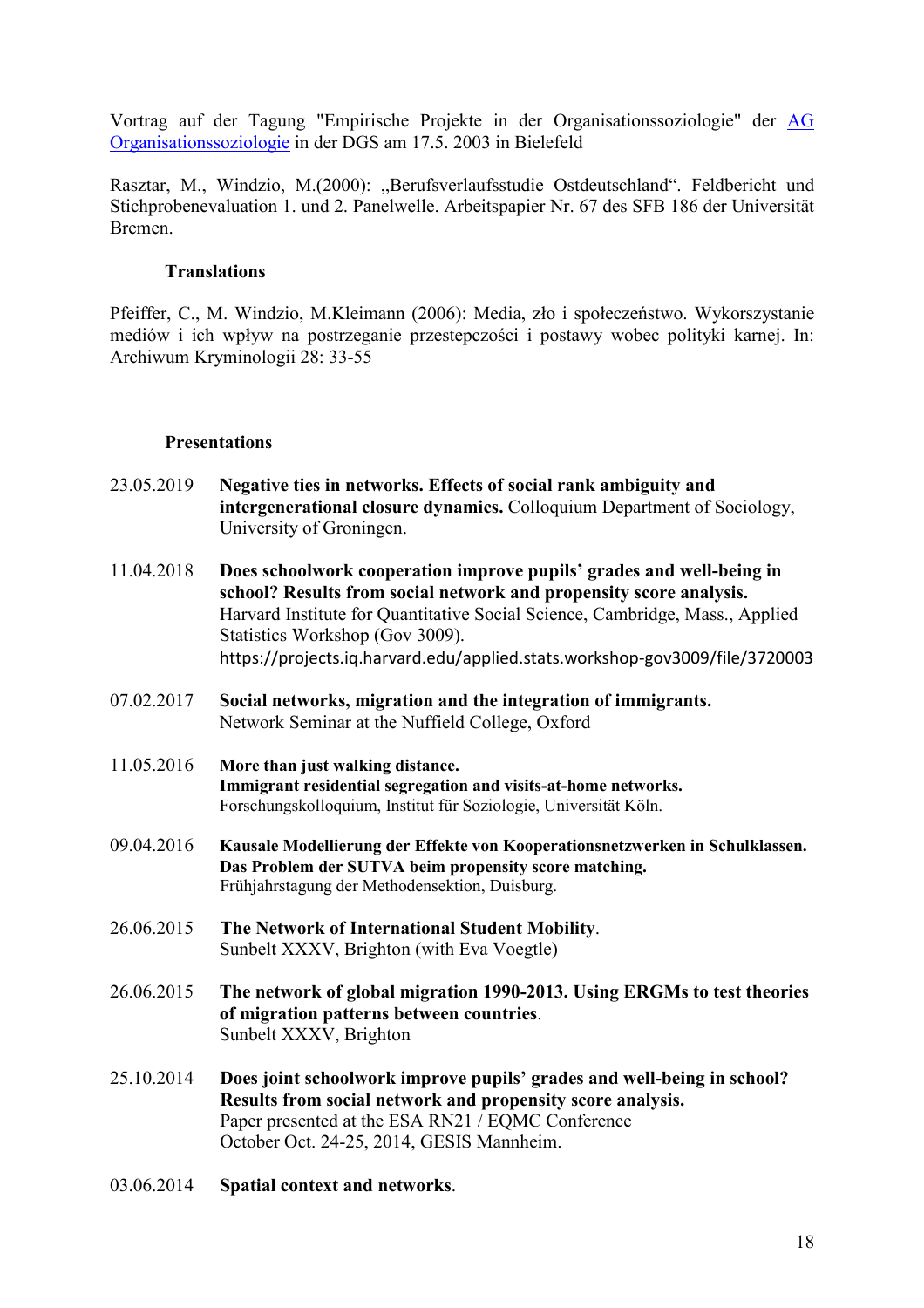Vortrag auf der Tagung "Empirische Projekte in der Organisationssoziologie" der AG Organisationssoziologie in der DGS am 17.5. 2003 in Bielefeld

Rasztar, M., Windzio, M.(2000): "Berufsverlaufsstudie Ostdeutschland". Feldbericht und Stichprobenevaluation 1. und 2. Panelwelle. Arbeitspapier Nr. 67 des SFB 186 der Universität Bremen.

### **Translations**

Pfeiffer, C., M. Windzio, M.Kleimann (2006): Media, zło i społeczeństwo. Wykorszystanie mediów i ich wpływ na postrzeganie przestepczości i postawy wobec polityki karnej. In: Archiwum Kryminologii 28: 33-55

#### **Presentations**

- 23.05.2019 **Negative ties in networks. Effects of social rank ambiguity and intergenerational closure dynamics.** Colloquium Department of Sociology, University of Groningen.
- 11.04.2018 **Does schoolwork cooperation improve pupils' grades and well-being in school? Results from social network and propensity score analysis.** Harvard Institute for Quantitative Social Science, Cambridge, Mass., Applied Statistics Workshop (Gov 3009). https://projects.iq.harvard.edu/applied.stats.workshop-gov3009/file/3720003
- 07.02.2017 **Social networks, migration and the integration of immigrants.** Network Seminar at the Nuffield College, Oxford
- 11.05.2016 **More than just walking distance. Immigrant residential segregation and visits-at-home networks.** Forschungskolloquium, Institut für Soziologie, Universität Köln.
- 09.04.2016 **Kausale Modellierung der Effekte von Kooperationsnetzwerken in Schulklassen. Das Problem der SUTVA beim propensity score matching.** Frühjahrstagung der Methodensektion, Duisburg.
- 26.06.2015 **The Network of International Student Mobility**. Sunbelt XXXV, Brighton (with Eva Voegtle)
- 26.06.2015 **The network of global migration 1990-2013. Using ERGMs to test theories of migration patterns between countries**. Sunbelt XXXV, Brighton
- 25.10.2014 **Does joint schoolwork improve pupils' grades and well-being in school? Results from social network and propensity score analysis.**  Paper presented at the ESA RN21 / EOMC Conference October Oct. 24-25, 2014, GESIS Mannheim.
- 03.06.2014 **Spatial context and networks**.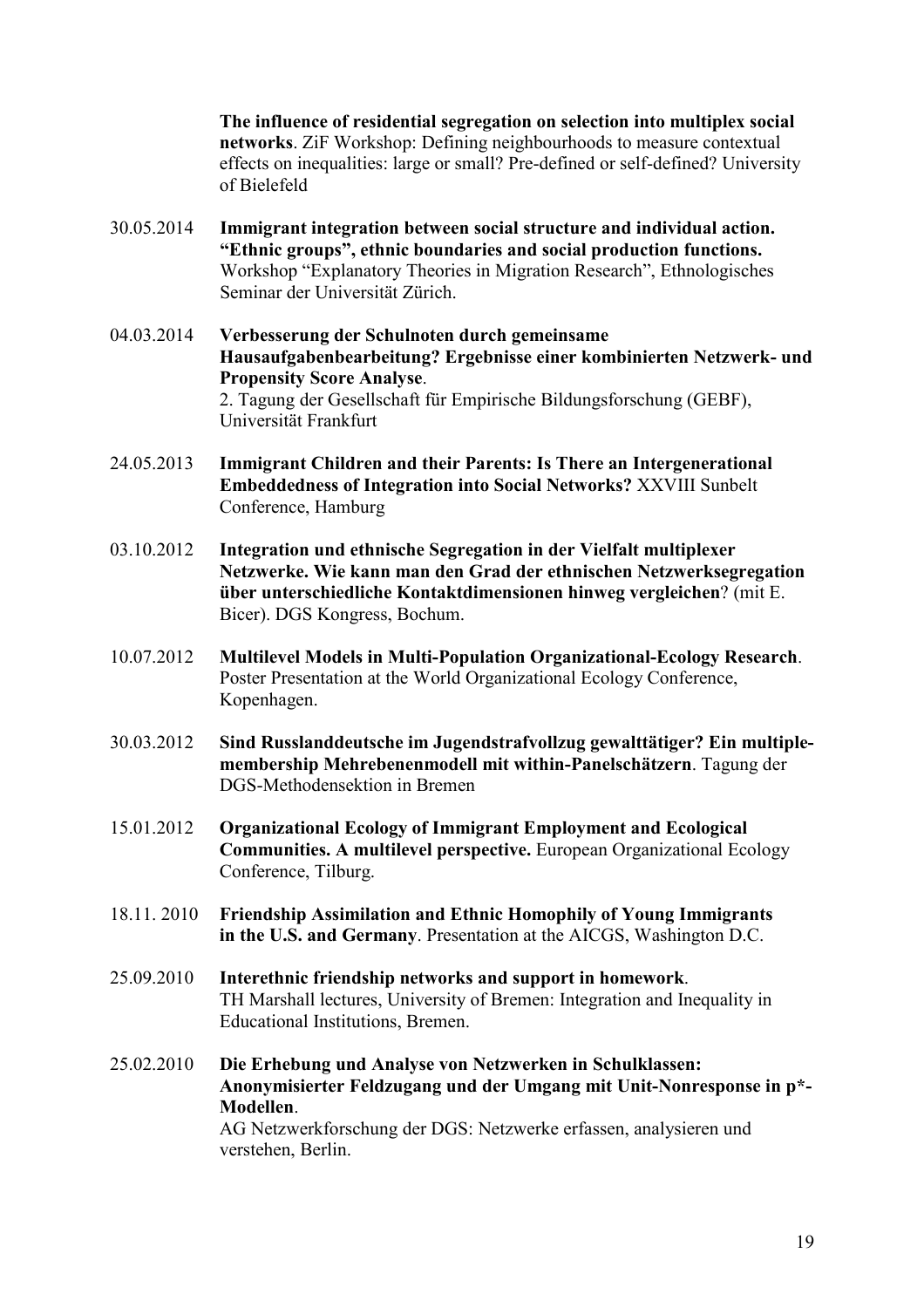**The influence of residential segregation on selection into multiplex social networks**. ZiF Workshop: Defining neighbourhoods to measure contextual effects on inequalities: large or small? Pre-defined or self-defined? University of Bielefeld

- 30.05.2014 **Immigrant integration between social structure and individual action. "Ethnic groups", ethnic boundaries and social production functions.**  Workshop "Explanatory Theories in Migration Research", Ethnologisches Seminar der Universität Zürich.
- 04.03.2014 **Verbesserung der Schulnoten durch gemeinsame Hausaufgabenbearbeitung? Ergebnisse einer kombinierten Netzwerk- und Propensity Score Analyse**. 2. Tagung der Gesellschaft für Empirische Bildungsforschung (GEBF), Universität Frankfurt
- 24.05.2013 **Immigrant Children and their Parents: Is There an Intergenerational Embeddedness of Integration into Social Networks?** XXVIII Sunbelt Conference, Hamburg
- 03.10.2012 **Integration und ethnische Segregation in der Vielfalt multiplexer Netzwerke. Wie kann man den Grad der ethnischen Netzwerksegregation über unterschiedliche Kontaktdimensionen hinweg vergleichen**? (mit E. Bicer). DGS Kongress, Bochum.
- 10.07.2012 **Multilevel Models in Multi-Population Organizational-Ecology Research**. Poster Presentation at the World Organizational Ecology Conference, Kopenhagen.
- 30.03.2012 **Sind Russlanddeutsche im Jugendstrafvollzug gewalttätiger? Ein multiplemembership Mehrebenenmodell mit within-Panelschätzern**. Tagung der DGS-Methodensektion in Bremen
- 15.01.2012 **Organizational Ecology of Immigrant Employment and Ecological Communities. A multilevel perspective.** European Organizational Ecology Conference, Tilburg.
- 18.11. 2010 **Friendship Assimilation and Ethnic Homophily of Young Immigrants in the U.S. and Germany**. Presentation at the AICGS, Washington D.C.
- 25.09.2010 **Interethnic friendship networks and support in homework**. TH Marshall lectures, University of Bremen: Integration and Inequality in Educational Institutions, Bremen.
- 25.02.2010 **Die Erhebung und Analyse von Netzwerken in Schulklassen: Anonymisierter Feldzugang und der Umgang mit Unit-Nonresponse in p\*- Modellen**. AG Netzwerkforschung der DGS: Netzwerke erfassen, analysieren und verstehen, Berlin.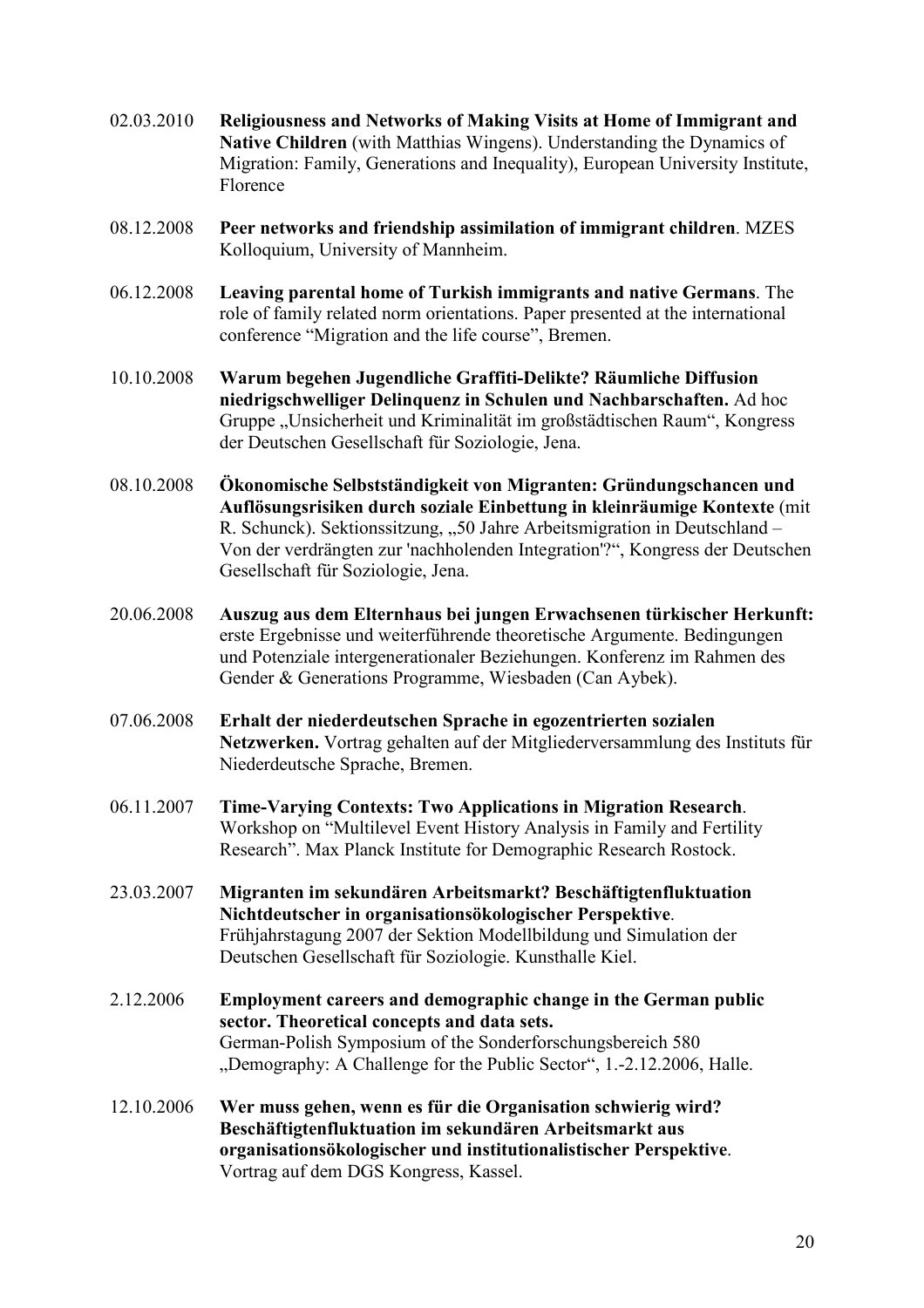- 02.03.2010 **Religiousness and Networks of Making Visits at Home of Immigrant and Native Children** (with Matthias Wingens). Understanding the Dynamics of Migration: Family, Generations and Inequality), European University Institute, Florence
- 08.12.2008 **Peer networks and friendship assimilation of immigrant children**. MZES Kolloquium, University of Mannheim.
- 06.12.2008 **Leaving parental home of Turkish immigrants and native Germans**. The role of family related norm orientations. Paper presented at the international conference "Migration and the life course", Bremen.
- 10.10.2008 **Warum begehen Jugendliche Graffiti-Delikte? Räumliche Diffusion niedrigschwelliger Delinquenz in Schulen und Nachbarschaften.** Ad hoc Gruppe "Unsicherheit und Kriminalität im großstädtischen Raum", Kongress der Deutschen Gesellschaft für Soziologie, Jena.
- 08.10.2008 **Ökonomische Selbstständigkeit von Migranten: Gründungschancen und Auflösungsrisiken durch soziale Einbettung in kleinräumige Kontexte** (mit R. Schunck). Sektionssitzung, "50 Jahre Arbeitsmigration in Deutschland – Von der verdrängten zur 'nachholenden Integration'?", Kongress der Deutschen Gesellschaft für Soziologie, Jena.
- 20.06.2008 **Auszug aus dem Elternhaus bei jungen Erwachsenen türkischer Herkunft:** erste Ergebnisse und weiterführende theoretische Argumente. Bedingungen und Potenziale intergenerationaler Beziehungen. Konferenz im Rahmen des Gender & Generations Programme, Wiesbaden (Can Aybek).
- 07.06.2008 **Erhalt der niederdeutschen Sprache in egozentrierten sozialen Netzwerken.** Vortrag gehalten auf der Mitgliederversammlung des Instituts für Niederdeutsche Sprache, Bremen.
- 06.11.2007 **Time-Varying Contexts: Two Applications in Migration Research**. Workshop on "Multilevel Event History Analysis in Family and Fertility Research". Max Planck Institute for Demographic Research Rostock.
- 23.03.2007 **Migranten im sekundären Arbeitsmarkt? Beschäftigtenfluktuation Nichtdeutscher in organisationsökologischer Perspektive**. Frühjahrstagung 2007 der Sektion Modellbildung und Simulation der Deutschen Gesellschaft für Soziologie. Kunsthalle Kiel.
- 2.12.2006 **Employment careers and demographic change in the German public sector. Theoretical concepts and data sets.** German-Polish Symposium of the Sonderforschungsbereich 580 "Demography: A Challenge for the Public Sector", 1.-2.12.2006, Halle.
- 12.10.2006 **Wer muss gehen, wenn es für die Organisation schwierig wird? Beschäftigtenfluktuation im sekundären Arbeitsmarkt aus organisationsökologischer und institutionalistischer Perspektive**. Vortrag auf dem DGS Kongress, Kassel.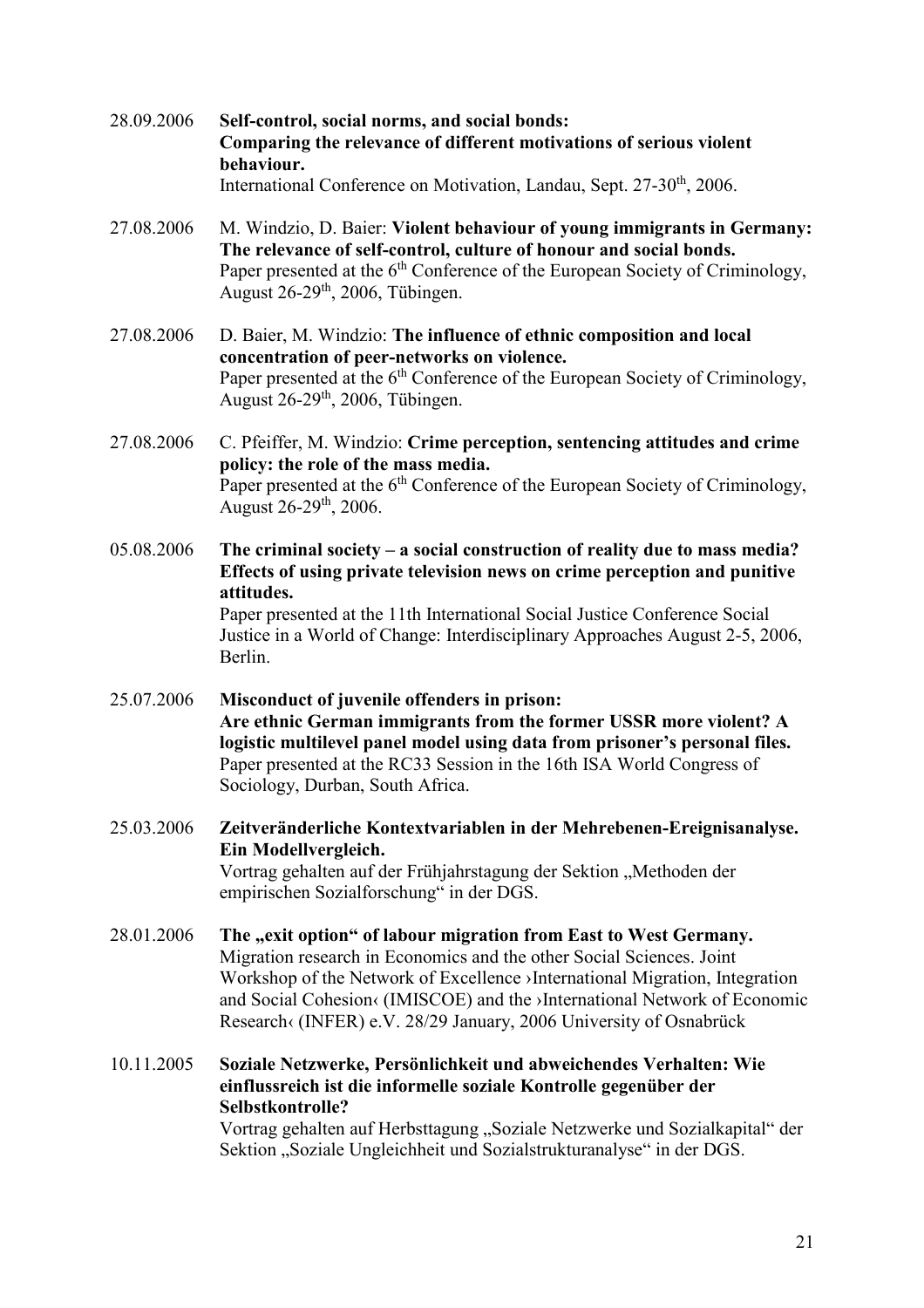- 28.09.2006 **Self-control, social norms, and social bonds: Comparing the relevance of different motivations of serious violent behaviour.**  International Conference on Motivation, Landau, Sept. 27-30<sup>th</sup>, 2006.
- 27.08.2006 M. Windzio, D. Baier: **Violent behaviour of young immigrants in Germany: The relevance of self-control, culture of honour and social bonds.** Paper presented at the  $6<sup>th</sup>$  Conference of the European Society of Criminology, August 26-29th, 2006, Tübingen.
- 27.08.2006 D. Baier, M. Windzio: **The influence of ethnic composition and local concentration of peer-networks on violence.** Paper presented at the 6<sup>th</sup> Conference of the European Society of Criminology, August  $26-29<sup>th</sup>$ , 2006, Tübingen.
- 27.08.2006 C. Pfeiffer, M. Windzio: **Crime perception, sentencing attitudes and crime policy: the role of the mass media.** Paper presented at the  $6<sup>th</sup>$  Conference of the European Society of Criminology. August  $26-29^{th}$ , 2006.
- 05.08.2006 **The criminal society a social construction of reality due to mass media? Effects of using private television news on crime perception and punitive attitudes.**  Paper presented at the 11th International Social Justice Conference Social Justice in a World of Change: Interdisciplinary Approaches August 2-5, 2006, Berlin.
- 25.07.2006 **Misconduct of juvenile offenders in prison: Are ethnic German immigrants from the former USSR more violent? A logistic multilevel panel model using data from prisoner's personal files.**  Paper presented at the RC33 Session in the 16th ISA World Congress of Sociology, Durban, South Africa.
- 25.03.2006 **Zeitveränderliche Kontextvariablen in der Mehrebenen-Ereignisanalyse. Ein Modellvergleich.**  Vortrag gehalten auf der Frühjahrstagung der Sektion "Methoden der empirischen Sozialforschung" in der DGS.
- 28.01.2006 The "exit option" of labour migration from East to West Germany. Migration research in Economics and the other Social Sciences. Joint Workshop of the Network of Excellence >International Migration, Integration and Social Cohesion< (IMISCOE) and the >International Network of Economic Research‹ (INFER) e.V. 28/29 January, 2006 University of Osnabrück

10.11.2005 **Soziale Netzwerke, Persönlichkeit und abweichendes Verhalten: Wie einflussreich ist die informelle soziale Kontrolle gegenüber der Selbstkontrolle?** Vortrag gehalten auf Herbsttagung "Soziale Netzwerke und Sozialkapital" der Sektion "Soziale Ungleichheit und Sozialstrukturanalyse" in der DGS.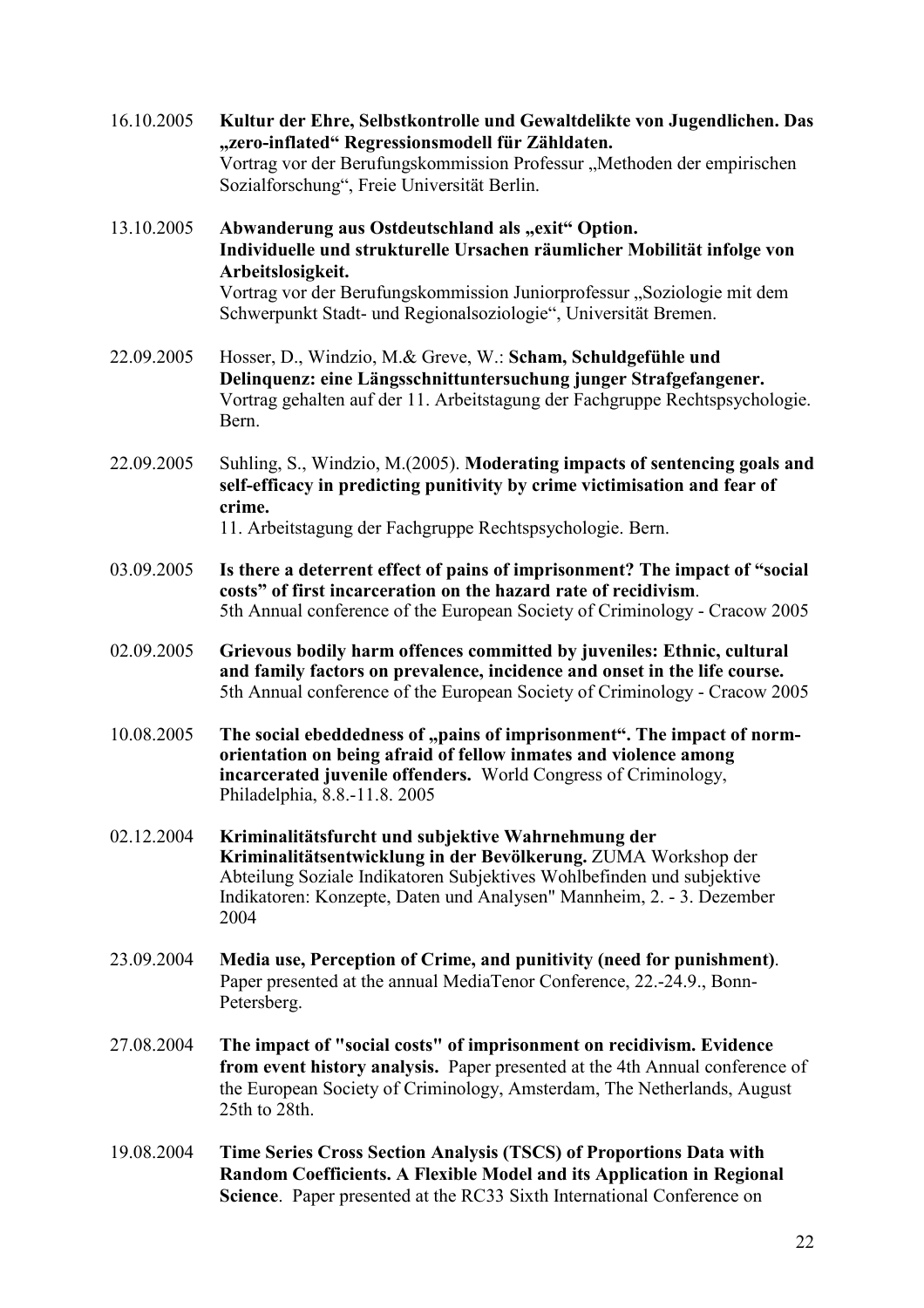| 16.10.2005 | Kultur der Ehre, Selbstkontrolle und Gewaltdelikte von Jugendlichen. Das<br>"zero-inflated" Regressionsmodell für Zähldaten.<br>Vortrag vor der Berufungskommission Professur "Methoden der empirischen<br>Sozialforschung", Freie Universität Berlin.                         |
|------------|--------------------------------------------------------------------------------------------------------------------------------------------------------------------------------------------------------------------------------------------------------------------------------|
| 13.10.2005 | Abwanderung aus Ostdeutschland als "exit" Option.<br>Individuelle und strukturelle Ursachen räumlicher Mobilität infolge von<br>Arbeitslosigkeit.                                                                                                                              |
|            | Vortrag vor der Berufungskommission Juniorprofessur "Soziologie mit dem<br>Schwerpunkt Stadt- und Regionalsoziologie", Universität Bremen.                                                                                                                                     |
| 22.09.2005 | Hosser, D., Windzio, M.& Greve, W.: Scham, Schuldgefühle und<br>Delinquenz: eine Längsschnittuntersuchung junger Strafgefangener.<br>Vortrag gehalten auf der 11. Arbeitstagung der Fachgruppe Rechtspsychologie.<br>Bern.                                                     |
| 22.09.2005 | Suhling, S., Windzio, M.(2005). Moderating impacts of sentencing goals and<br>self-efficacy in predicting punitivity by crime victimisation and fear of<br>crime.<br>11. Arbeitstagung der Fachgruppe Rechtspsychologie. Bern.                                                 |
| 03.09.2005 | Is there a deterrent effect of pains of imprisonment? The impact of "social<br>costs" of first incarceration on the hazard rate of recidivism.<br>5th Annual conference of the European Society of Criminology - Cracow 2005                                                   |
| 02.09.2005 | Grievous bodily harm offences committed by juveniles: Ethnic, cultural<br>and family factors on prevalence, incidence and onset in the life course.<br>5th Annual conference of the European Society of Criminology - Cracow 2005                                              |
| 10.08.2005 | The social ebeddedness of "pains of imprisonment". The impact of norm-<br>orientation on being afraid of fellow inmates and violence among<br>incarcerated juvenile offenders. World Congress of Criminology,<br>Philadelphia, 8.8.-11.8. 2005                                 |
| 02.12.2004 | Kriminalitätsfurcht und subjektive Wahrnehmung der<br>Kriminalitätsentwicklung in der Bevölkerung. ZUMA Workshop der<br>Abteilung Soziale Indikatoren Subjektives Wohlbefinden und subjektive<br>Indikatoren: Konzepte, Daten und Analysen" Mannheim, 2. - 3. Dezember<br>2004 |
| 23.09.2004 | Media use, Perception of Crime, and punitivity (need for punishment).<br>Paper presented at the annual MediaTenor Conference, 22.-24.9., Bonn-<br>Petersberg.                                                                                                                  |
| 27.08.2004 | The impact of "social costs" of imprisonment on recidivism. Evidence<br>from event history analysis. Paper presented at the 4th Annual conference of<br>the European Society of Criminology, Amsterdam, The Netherlands, August<br>25th to 28th.                               |
| 19.08.2004 | Time Series Cross Section Analysis (TSCS) of Proportions Data with<br>Random Coefficients. A Flexible Model and its Application in Regional<br>Science. Paper presented at the RC33 Sixth International Conference on                                                          |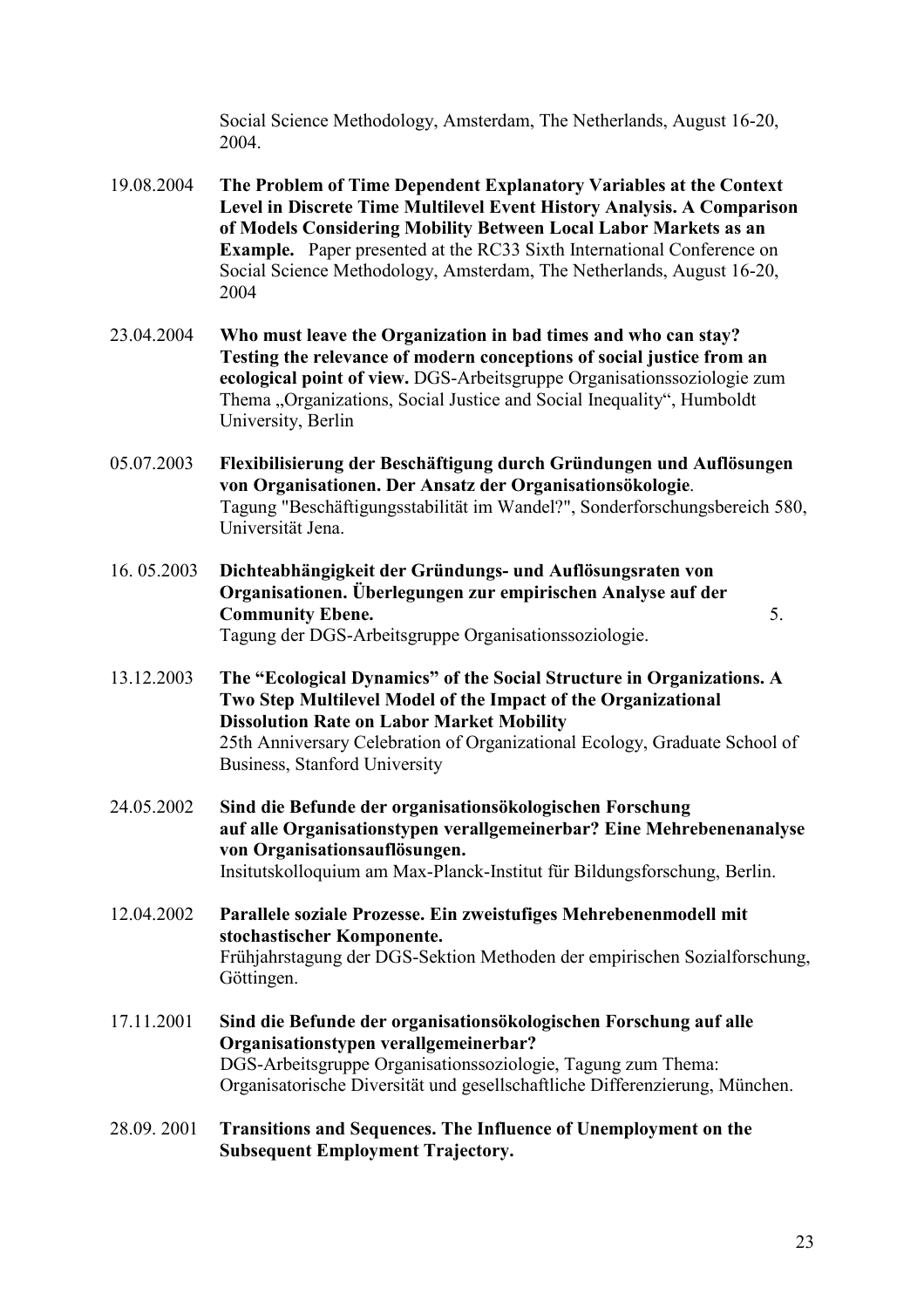Social Science Methodology, Amsterdam, The Netherlands, August 16-20, 2004.

- 19.08.2004 **The Problem of Time Dependent Explanatory Variables at the Context Level in Discrete Time Multilevel Event History Analysis. A Comparison of Models Considering Mobility Between Local Labor Markets as an Example.** Paper presented at the RC33 Sixth International Conference on Social Science Methodology, Amsterdam, The Netherlands, August 16-20, 2004
- 23.04.2004 **Who must leave the Organization in bad times and who can stay? Testing the relevance of modern conceptions of social justice from an ecological point of view.** DGS-Arbeitsgruppe Organisationssoziologie zum Thema "Organizations, Social Justice and Social Inequality", Humboldt University, Berlin
- 05.07.2003 **Flexibilisierung der Beschäftigung durch Gründungen und Auflösungen von Organisationen. Der Ansatz der Organisationsökologie**. Tagung "Beschäftigungsstabilität im Wandel?", Sonderforschungsbereich 580, Universität Jena.
- 16. 05.2003 **Dichteabhängigkeit der Gründungs- und Auflösungsraten von Organisationen. Überlegungen zur empirischen Analyse auf der Community Ebene.** 5. Tagung der DGS-Arbeitsgruppe Organisationssoziologie.
- 13.12.2003 **The "Ecological Dynamics" of the Social Structure in Organizations. A Two Step Multilevel Model of the Impact of the Organizational Dissolution Rate on Labor Market Mobility** 25th Anniversary Celebration of Organizational Ecology, Graduate School of Business, Stanford University
- 24.05.2002 **Sind die Befunde der organisationsökologischen Forschung auf alle Organisationstypen verallgemeinerbar? Eine Mehrebenenanalyse von Organisationsauflösungen.** Insitutskolloquium am Max-Planck-Institut für Bildungsforschung, Berlin.
- 12.04.2002 **Parallele soziale Prozesse. Ein zweistufiges Mehrebenenmodell mit stochastischer Komponente.** Frühjahrstagung der DGS-Sektion Methoden der empirischen Sozialforschung, Göttingen.
- 17.11.2001 **Sind die Befunde der organisationsökologischen Forschung auf alle Organisationstypen verallgemeinerbar?** DGS-Arbeitsgruppe Organisationssoziologie, Tagung zum Thema: Organisatorische Diversität und gesellschaftliche Differenzierung, München.
- 28.09. 2001 **Transitions and Sequences. The Influence of Unemployment on the Subsequent Employment Trajectory.**